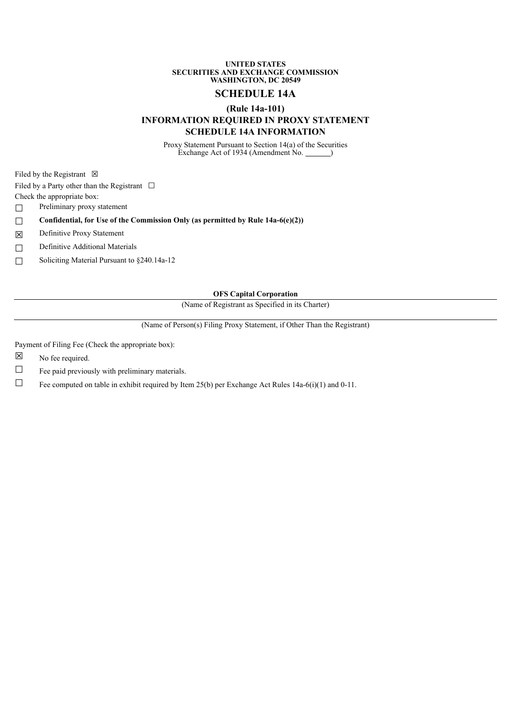### **UNITED STATES SECURITIES AND EXCHANGE COMMISSION WASHINGTON, DC 20549**

# **SCHEDULE 14A**

## **(Rule 14a-101)**

# **INFORMATION REQUIRED IN PROXY STATEMENT SCHEDULE 14A INFORMATION**

Proxy Statement Pursuant to Section 14(a) of the Securities Exchange Act of 1934 (Amendment No. <u>)</u>

Filed by the Registrant  $\boxtimes$ 

Filed by a Party other than the Registrant  $\Box$ 

Check the appropriate box:

□ Preliminary proxy statement

☐ **Confidential, for Use of the Commission Only (as permitted by Rule 14a-6(e)(2))**

☒ Definitive Proxy Statement

□ Definitive Additional Materials

☐ Soliciting Material Pursuant to §240.14a-12

## **OFS Capital Corporation**

(Name of Registrant as Specified in its Charter)

(Name of Person(s) Filing Proxy Statement, if Other Than the Registrant)

Payment of Filing Fee (Check the appropriate box):

☒ No fee required.

 $\Box$  Fee paid previously with preliminary materials.

□ Fee computed on table in exhibit required by Item 25(b) per Exchange Act Rules 14a-6(i)(1) and 0-11.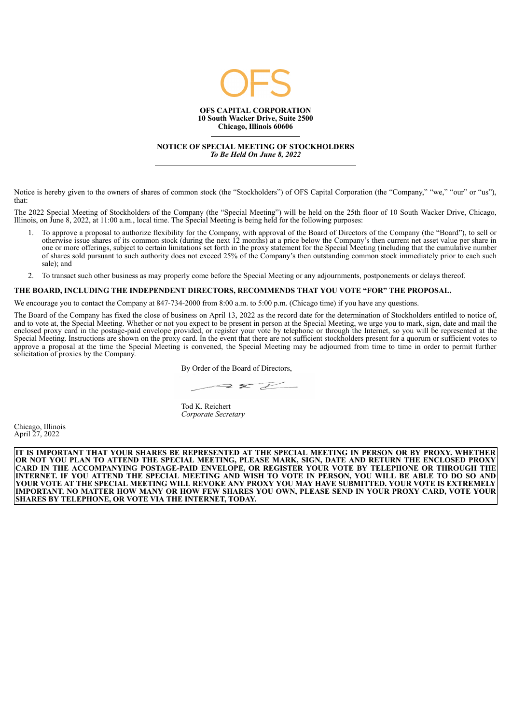

**NOTICE OF SPECIAL MEETING OF STOCKHOLDERS** *To Be Held On June 8, 2022*

Notice is hereby given to the owners of shares of common stock (the "Stockholders") of OFS Capital Corporation (the "Company," "we," "our" or "us"), that:

The 2022 Special Meeting of Stockholders of the Company (the "Special Meeting") will be held on the 25th floor of 10 South Wacker Drive, Chicago, Illinois, on June 8, 2022, at 11:00 a.m., local time. The Special Meeting is being held for the following purposes:

- 1. To approve a proposal to authorize flexibility for the Company, with approval of the Board of Directors of the Company (the "Board"), to sell or otherwise issue shares of its common stock (during the next 12 months) at a price below the Company's then current net asset value per share in one or more offerings, subject to certain limitations set forth in the proxy statement for the Special Meeting (including that the cumulative number of shares sold pursuant to such authority does not exceed 25% of the Company's then outstanding common stock immediately prior to each such sale); and
- 2. To transact such other business as may properly come before the Special Meeting or any adjournments, postponements or delays thereof.

## **THE BOARD, INCLUDING THE INDEPENDENT DIRECTORS, RECOMMENDS THAT YOU VOTE "FOR" THE PROPOSAL.**

We encourage you to contact the Company at 847-734-2000 from 8:00 a.m. to 5:00 p.m. (Chicago time) if you have any questions.

The Board of the Company has fixed the close of business on April 13, 2022 as the record date for the determination of Stockholders entitled to notice of, and to vote at, the Special Meeting. Whether or not you expect to be present in person at the Special Meeting, we urge you to mark, sign, date and mail the enclosed proxy card in the postage-paid envelope provided, or register your vote by telephone or through the Internet, so you will be represented at the Special Meeting. Instructions are shown on the proxy card. In the event that there are not sufficient stockholders present for a quorum or sufficient votes to approve a proposal at the time the Special Meeting is convened, the Special Meeting may be adjourned from time to time in order to permit further solicitation of proxies by the Company.

 $222$ 

By Order of the Board of Directors,

Tod K. Reichert *Corporate Secretary*

Chicago, Illinois April 27, 2022

IT IS IMPORTANT THAT YOUR SHARES BE REPRESENTED AT THE SPECIAL MEETING IN PERSON OR BY PROXY. WHETHER OR NOT YOU PLAN TO ATTEND THE SPECIAL MEETING, PLEASE MARK, SIGN, DATE AND RETURN THE ENCLOSED PROXY **CARD IN THE ACCOMPANYING POSTAGE-PAID ENVELOPE, OR REGISTER YOUR VOTE BY TELEPHONE OR THROUGH THE** INTERNET. IF YOU ATTEND THE SPECIAL MEETING AND WISH TO VOTE IN PERSON, YOU WILL BE ABLE TO DO SO AND YOUR VOTE AT THE SPECIAL MEETING WILL REVOKE ANY PROXY YOU MAY HAVE SUBMITTED. YOUR VOTE IS EXTREMELY IMPORTANT. NO MATTER HOW MANY OR HOW FEW SHARES YOU OWN, PLEASE SEND IN YOUR PROXY CARD, VOTE YOUR **SHARES BY TELEPHONE, OR VOTE VIA THE INTERNET, TODAY.**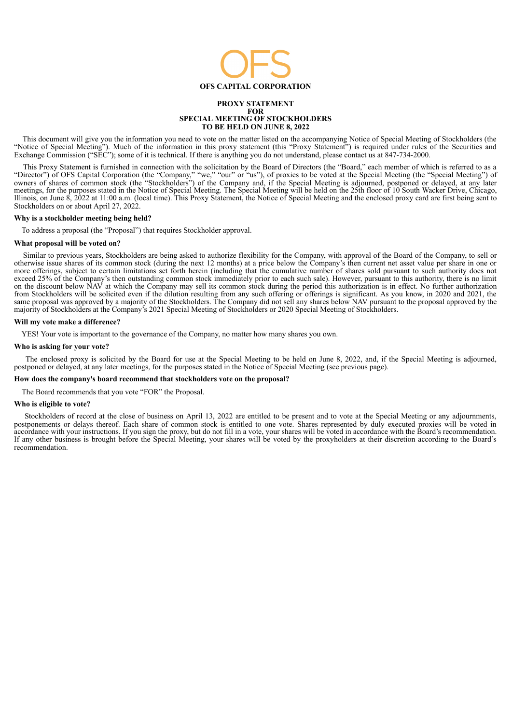

#### **PROXY STATEMENT FOR SPECIAL MEETING OF STOCKHOLDERS TO BE HELD ON JUNE 8, 2022**

This document will give you the information you need to vote on the matter listed on the accompanying Notice of Special Meeting of Stockholders (the "Notice of Special Meeting"). Much of the information in this proxy statement (this "Proxy Statement") is required under rules of the Securities and Exchange Commission ("SEC"); some of it is technical. If there is anything you do not understand, please contact us at 847-734-2000.

This Proxy Statement is furnished in connection with the solicitation by the Board of Directors (the "Board," each member of which is referred to as a "Director") of OFS Capital Corporation (the "Company," "we," "our" or "us"), of proxies to be voted at the Special Meeting (the "Special Meeting") of owners of shares of common stock (the "Stockholders") of the Company and, if the Special Meeting is adjourned, postponed or delayed, at any later meetings, for the purposes stated in the Notice of Special Meeting. The Special Meeting will be held on the 25th floor of 10 South Wacker Drive, Chicago, Illinois, on June 8, 2022 at 11:00 a.m. (local time). This Proxy Statement, the Notice of Special Meeting and the enclosed proxy card are first being sent to Stockholders on or about April 27, 2022.

### **Why is a stockholder meeting being held?**

To address a proposal (the "Proposal") that requires Stockholder approval.

## **What proposal will be voted on?**

Similar to previous years, Stockholders are being asked to authorize flexibility for the Company, with approval of the Board of the Company, to sell or otherwise issue shares of its common stock (during the next 12 months) at a price below the Company's then current net asset value per share in one or more offerings, subject to certain limitations set forth herein (including that the cumulative number of shares sold pursuant to such authority does not exceed 25% of the Company's then outstanding common stock immediately prior to each such sale). However, pursuant to this authority, there is no limit on the discount below NAV at which the Company may sell its common stock during the period this authorization is in effect. No further authorization from Stockholders will be solicited even if the dilution resulting from any such offering or offerings is significant. As you know, in 2020 and 2021, the same proposal was approved by a majority of the Stockholders. The Company did not sell any shares below NAV pursuant to the proposal approved by the majority of Stockholders at the Company's 2021 Special Meeting of Stockholders or 2020 Special Meeting of Stockholders.

### **Will my vote make a difference?**

YES! Your vote is important to the governance of the Company, no matter how many shares you own.

## **Who is asking for your vote?**

The enclosed proxy is solicited by the Board for use at the Special Meeting to be held on June 8, 2022, and, if the Special Meeting is adjourned, postponed or delayed, at any later meetings, for the purposes stated in the Notice of Special Meeting (see previous page).

## **How does the company's board recommend that stockholders vote on the proposal?**

The Board recommends that you vote "FOR" the Proposal.

#### **Who is eligible to vote?**

Stockholders of record at the close of business on April 13, 2022 are entitled to be present and to vote at the Special Meeting or any adjournments, postponements or delays thereof. Each share of common stock is entitled to one vote. Shares represented by duly executed proxies will be voted in accordance with your instructions. If you sign the proxy, but do not fill in a vote, your shares will be voted in accordance with the Board's recommendation. If any other business is brought before the Special Meeting, your shares will be voted by the proxyholders at their discretion according to the Board's recommendation.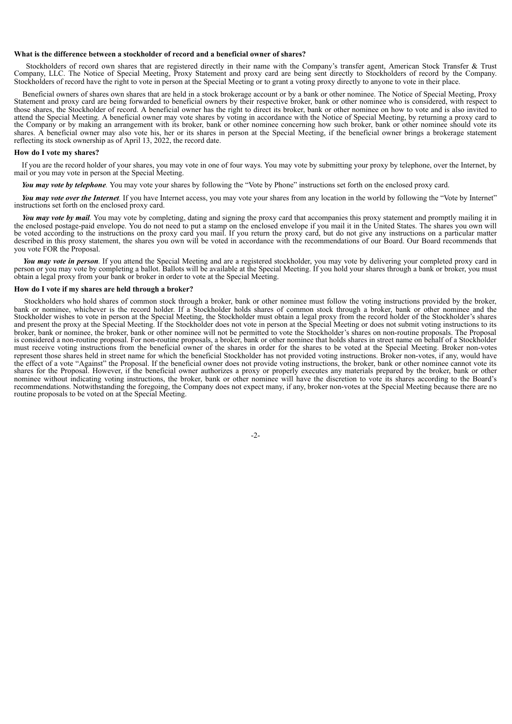#### **What is the difference between a stockholder of record and a beneficial owner of shares?**

Stockholders of record own shares that are registered directly in their name with the Company's transfer agent, American Stock Transfer & Trust Company, LLC. The Notice of Special Meeting, Proxy Statement and proxy card are being sent directly to Stockholders of record by the Company. Stockholders of record have the right to vote in person at the Special Meeting or to grant a voting proxy directly to anyone to vote in their place.

Beneficial owners of shares own shares that are held in a stock brokerage account or by a bank or other nominee. The Notice of Special Meeting, Proxy Statement and proxy card are being forwarded to beneficial owners by their respective broker, bank or other nominee who is considered, with respect to those shares, the Stockholder of record. A beneficial owner has the right to direct its broker, bank or other nominee on how to vote and is also invited to attend the Special Meeting. A beneficial owner may vote shares by voting in accordance with the Notice of Special Meeting, by returning a proxy card to the Company or by making an arrangement with its broker, bank or other nominee concerning how such broker, bank or other nominee should vote its shares. A beneficial owner may also vote his, her or its shares in person at the Special Meeting, if the beneficial owner brings a brokerage statement reflecting its stock ownership as of April 13, 2022, the record date.

### **How do I vote my shares?**

If you are the record holder of your shares, you may vote in one of four ways. You may vote by submitting your proxy by telephone, over the Internet, by mail or you may vote in person at the Special Meeting.

*You may vote by telephone.* You may vote your shares by following the "Vote by Phone" instructions set forth on the enclosed proxy card.

*You may vote over the Internet.* If you have Internet access, you may vote your shares from any location in the world by following the "Vote by Internet" instructions set forth on the enclosed proxy card.

*You may vote by mail.* You may vote by completing, dating and signing the proxy card that accompanies this proxy statement and promptly mailing it in the enclosed postage-paid envelope. You do not need to put a stamp on the enclosed envelope if you mail it in the United States. The shares you own will be voted according to the instructions on the proxy card you mail. If you return the proxy card, but do not give any instructions on a particular matter described in this proxy statement, the shares you own will be voted in accordance with the recommendations of our Board. Our Board recommends that you vote FOR the Proposal.

*You may vote in person.* If you attend the Special Meeting and are a registered stockholder, you may vote by delivering your completed proxy card in person or you may vote by completing a ballot. Ballots will be available at the Special Meeting. If you hold your shares through a bank or broker, you must obtain a legal proxy from your bank or broker in order to vote at the Special Meeting.

#### **How do I vote if my shares are held through a broker?**

Stockholders who hold shares of common stock through a broker, bank or other nominee must follow the voting instructions provided by the broker, bank or nominee, whichever is the record holder. If a Stockholder holds shares of common stock through a broker, bank or other nominee and the Stockholder wishes to vote in person at the Special Meeting, the Stockholder must obtain a legal proxy from the record holder of the Stockholder's shares and present the proxy at the Special Meeting. If the Stockholder does not vote in person at the Special Meeting or does not submit voting instructions to its broker, bank or nominee, the broker, bank or other nominee will not be permitted to vote the Stockholder's shares on non-routine proposals. The Proposal is considered a non-routine proposal. For non-routine proposals, a broker, bank or other nominee that holds shares in street name on behalf of a Stockholder must receive voting instructions from the beneficial owner of the shares in order for the shares to be voted at the Special Meeting. Broker non-votes represent those shares held in street name for which the beneficial Stockholder has not provided voting instructions. Broker non-votes, if any, would have the effect of a vote "Against" the Proposal. If the beneficial owner does not provide voting instructions, the broker, bank or other nominee cannot vote its shares for the Proposal. However, if the beneficial owner authorizes a proxy or properly executes any materials prepared by the broker, bank or other nominee without indicating voting instructions, the broker, bank or other nominee will have the discretion to vote its shares according to the Board's recommendations. Notwithstanding the foregoing, the Company does not expect many, if any, broker non-votes at the Special Meeting because there are no routine proposals to be voted on at the Special Meeting.

-2-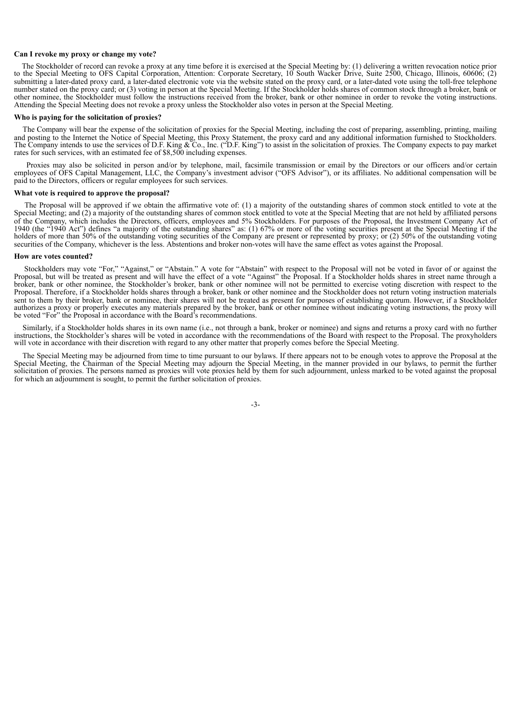#### **Can I revoke my proxy or change my vote?**

The Stockholder of record can revoke a proxy at any time before it is exercised at the Special Meeting by: (1) delivering a written revocation notice prior to the Special Meeting to OFS Capital Corporation, Attention: Corporate Secretary, 10 South Wacker Drive, Suite 2500, Chicago, Illinois, 60606; (2) submitting a later-dated proxy card, a later-dated electronic vote via the website stated on the proxy card, or a later-dated vote using the toll-free telephone number stated on the proxy card; or (3) voting in person at the Special Meeting. If the Stockholder holds shares of common stock through a broker, bank or other nominee, the Stockholder must follow the instructions received from the broker, bank or other nominee in order to revoke the voting instructions. Attending the Special Meeting does not revoke a proxy unless the Stockholder also votes in person at the Special Meeting.

## **Who is paying for the solicitation of proxies?**

The Company will bear the expense of the solicitation of proxies for the Special Meeting, including the cost of preparing, assembling, printing, mailing and posting to the Internet the Notice of Special Meeting, this Proxy Statement, the proxy card and any additional information furnished to Stockholders. The Company intends to use the services of D.F. King & Co., Inc. ("D.F. King") to assist in the solicitation of proxies. The Company expects to pay market rates for such services, with an estimated fee of \$8,500 including expenses.

Proxies may also be solicited in person and/or by telephone, mail, facsimile transmission or email by the Directors or our officers and/or certain employees of OFS Capital Management, LLC, the Company's investment advisor ("OFS Advisor"), or its affiliates. No additional compensation will be paid to the Directors, officers or regular employees for such services.

## **What vote is required to approve the proposal?**

The Proposal will be approved if we obtain the affirmative vote of: (1) a majority of the outstanding shares of common stock entitled to vote at the Special Meeting; and (2) a majority of the outstanding shares of common stock entitled to vote at the Special Meeting that are not held by affiliated persons of the Company, which includes the Directors, officers, employees and 5% Stockholders. For purposes of the Proposal, the Investment Company Act of 1940 (the "1940 Act") defines "a majority of the outstanding shares" as: (1) 67% or more of the voting securities present at the Special Meeting if the holders of more than 50% of the outstanding voting securities of the Company are present or represented by proxy; or (2) 50% of the outstanding voting securities of the Company, whichever is the less. Abstentions and broker non-votes will have the same effect as votes against the Proposal.

#### **How are votes counted?**

Stockholders may vote "For," "Against," or "Abstain." A vote for "Abstain" with respect to the Proposal will not be voted in favor of or against the Proposal, but will be treated as present and will have the effect of a vote "Against" the Proposal. If a Stockholder holds shares in street name through a broker, bank or other nominee, the Stockholder's broker, bank or other nominee will not be permitted to exercise voting discretion with respect to the Proposal. Therefore, if a Stockholder holds shares through a broker, bank or other nominee and the Stockholder does not return voting instruction materials sent to them by their broker, bank or nominee, their shares will not be treated as present for purposes of establishing quorum. However, if a Stockholder authorizes a proxy or properly executes any materials prepared by the broker, bank or other nominee without indicating voting instructions, the proxy will be voted "For" the Proposal in accordance with the Board's recommendations.

Similarly, if a Stockholder holds shares in its own name (i.e., not through a bank, broker or nominee) and signs and returns a proxy card with no further instructions, the Stockholder's shares will be voted in accordance with the recommendations of the Board with respect to the Proposal. The proxyholders will vote in accordance with their discretion with regard to any other matter that properly comes before the Special Meeting.

The Special Meeting may be adjourned from time to time pursuant to our bylaws. If there appears not to be enough votes to approve the Proposal at the Special Meeting, the Chairman of the Special Meeting may adjourn the Special Meeting, in the manner provided in our bylaws, to permit the further solicitation of proxies. The persons named as proxies will vote proxies held by them for such adjournment, unless marked to be voted against the proposal for which an adjournment is sought, to permit the further solicitation of proxies.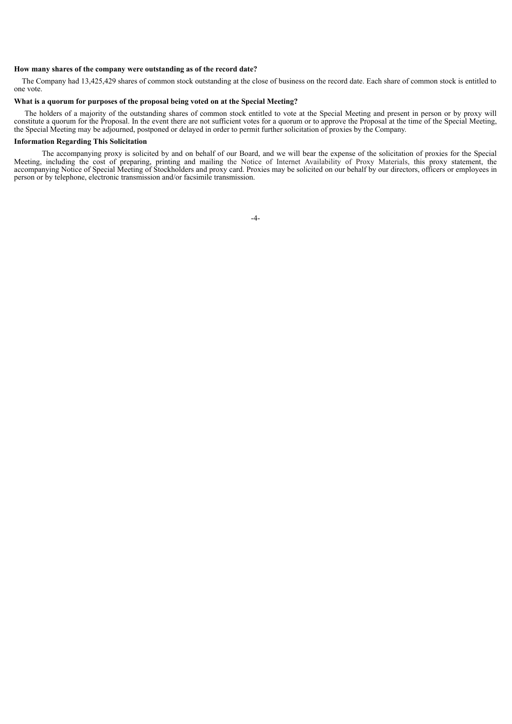## **How many shares of the company were outstanding as of the record date?**

The Company had 13,425,429 shares of common stock outstanding at the close of business on the record date. Each share of common stock is entitled to one vote.

## **What is a quorum for purposes of the proposal being voted on at the Special Meeting?**

The holders of a majority of the outstanding shares of common stock entitled to vote at the Special Meeting and present in person or by proxy will constitute a quorum for the Proposal. In the event there are not sufficient votes for a quorum or to approve the Proposal at the time of the Special Meeting, the Special Meeting may be adjourned, postponed or delayed in order to permit further solicitation of proxies by the Company.

## **Information Regarding This Solicitation**

The accompanying proxy is solicited by and on behalf of our Board, and we will bear the expense of the solicitation of proxies for the Special Meeting, including the cost of preparing, printing and mailing the Notice of Internet Availability of Proxy Materials, this proxy statement, the accompanying Notice of Special Meeting of Stockholders and proxy card. Proxies may be solicited on our behalf by our directors, officers or employees in person or by telephone, electronic transmission and/or facsimile transmission.

-4-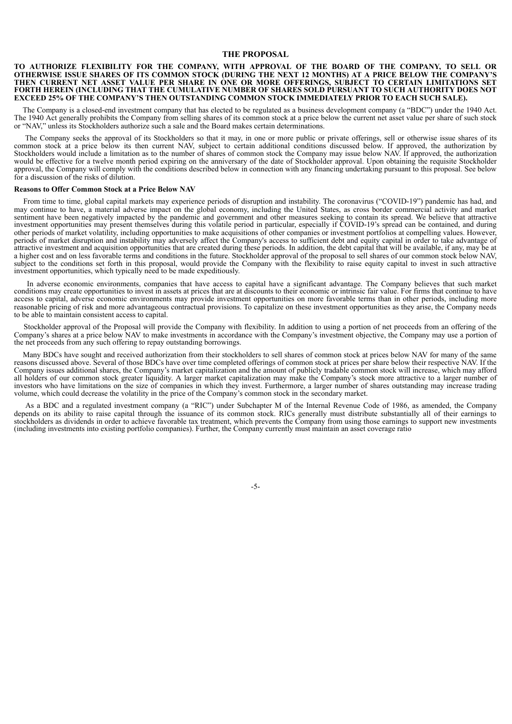## **THE PROPOSAL**

### **TO AUTHORIZE FLEXIBILITY FOR THE COMPANY, WITH APPROVAL OF THE BOARD OF THE COMPANY, TO SELL OR** OTHERWISE ISSUE SHARES OF ITS COMMON STOCK (DURING THE NEXT 12 MONTHS) AT A PRICE BELOW THE COMPANY'S **THEN CURRENT NET ASSET VALUE PER SHARE IN ONE OR MORE OFFERINGS, SUBJECT TO CERTAIN LIMITATIONS SET FORTH HEREIN (INCLUDING THAT THE CUMULATIVE NUMBER OF SHARES SOLD PURSUANT TO SUCH AUTHORITY DOES NOT EXCEED 25% OF THE COMPANY'S THEN OUTSTANDING COMMON STOCK IMMEDIATELY PRIOR TO EACH SUCH SALE).**

The Company is a closed-end investment company that has elected to be regulated as a business development company (a "BDC") under the 1940 Act. The 1940 Act generally prohibits the Company from selling shares of its common stock at a price below the current net asset value per share of such stock or "NAV," unless its Stockholders authorize such a sale and the Board makes certain determinations.

The Company seeks the approval of its Stockholders so that it may, in one or more public or private offerings, sell or otherwise issue shares of its common stock at a price below its then current NAV, subject to certain additional conditions discussed below. If approved, the authorization by Stockholders would include a limitation as to the number of shares of common stock the Company may issue below NAV. If approved, the authorization would be effective for a twelve month period expiring on the anniversary of the date of Stockholder approval. Upon obtaining the requisite Stockholder approval, the Company will comply with the conditions described below in connection with any financing undertaking pursuant to this proposal. See below for a discussion of the risks of dilution.

### **Reasons to Offer Common Stock at a Price Below NAV**

From time to time, global capital markets may experience periods of disruption and instability. The coronavirus ("COVID-19") pandemic has had, and may continue to have, a material adverse impact on the global economy, including the United States, as cross border commercial activity and market sentiment have been negatively impacted by the pandemic and government and other measures seeking to contain its spread. We believe that attractive investment opportunities may present themselves during this volatile period in particular, especially if COVID-19's spread can be contained, and during other periods of market volatility, including opportunities to make acquisitions of other companies or investment portfolios at compelling values. However, periods of market disruption and instability may adversely affect the Company's access to sufficient debt and equity capital in order to take advantage of attractive investment and acquisition opportunities that are created during these periods. In addition, the debt capital that will be available, if any, may be at a higher cost and on less favorable terms and conditions in the future. Stockholder approval of the proposal to sell shares of our common stock below NAV, subject to the conditions set forth in this proposal, would provide the Company with the flexibility to raise equity capital to invest in such attractive investment opportunities, which typically need to be made expeditiously.

In adverse economic environments, companies that have access to capital have a significant advantage. The Company believes that such market conditions may create opportunities to invest in assets at prices that are at discounts to their economic or intrinsic fair value. For firms that continue to have access to capital, adverse economic environments may provide investment opportunities on more favorable terms than in other periods, including more reasonable pricing of risk and more advantageous contractual provisions. To capitalize on these investment opportunities as they arise, the Company needs to be able to maintain consistent access to capital.

Stockholder approval of the Proposal will provide the Company with flexibility. In addition to using a portion of net proceeds from an offering of the Company's shares at a price below NAV to make investments in accordance with the Company's investment objective, the Company may use a portion of the net proceeds from any such offering to repay outstanding borrowings.

Many BDCs have sought and received authorization from their stockholders to sell shares of common stock at prices below NAV for many of the same reasons discussed above. Several of those BDCs have over time completed offerings of common stock at prices per share below their respective NAV. If the Company issues additional shares, the Company's market capitalization and the amount of publicly tradable common stock will increase, which may afford all holders of our common stock greater liquidity. A larger market capitalization may make the Company's stock more attractive to a larger number of investors who have limitations on the size of companies in which they invest. Furthermore, a larger number of shares outstanding may increase trading volume, which could decrease the volatility in the price of the Company's common stock in the secondary market.

As a BDC and a regulated investment company (a "RIC") under Subchapter M of the Internal Revenue Code of 1986, as amended, the Company depends on its ability to raise capital through the issuance of its common stock. RICs generally must distribute substantially all of their earnings to stockholders as dividends in order to achieve favorable tax treatment, which prevents the Company from using those earnings to support new investments (including investments into existing portfolio companies). Further, the Company currently must maintain an asset coverage ratio

-5-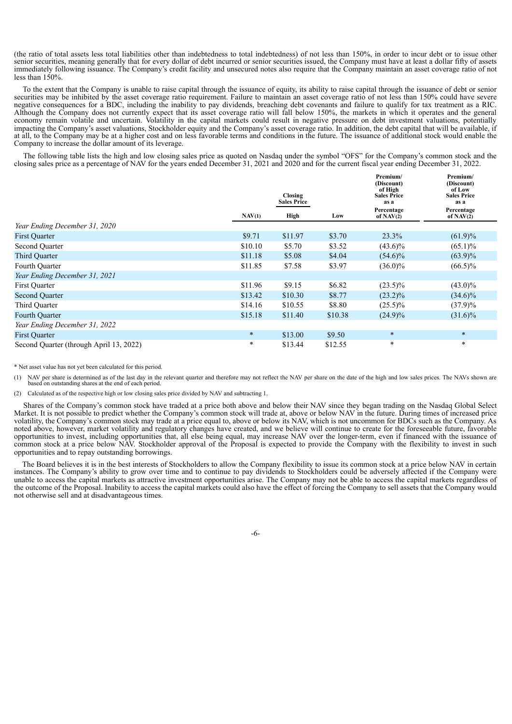(the ratio of total assets less total liabilities other than indebtedness to total indebtedness) of not less than 150%, in order to incur debt or to issue other senior securities, meaning generally that for every dollar of debt incurred or senior securities issued, the Company must have at least a dollar fifty of assets immediately following issuance. The Company's credit facility and unsecured notes also require that the Company maintain an asset coverage ratio of not less than 150%.

To the extent that the Company is unable to raise capital through the issuance of equity, its ability to raise capital through the issuance of debt or senior securities may be inhibited by the asset coverage ratio requirement. Failure to maintain an asset coverage ratio of not less than 150% could have severe negative consequences for a BDC, including the inability to pay dividends, breaching debt covenants and failure to qualify for tax treatment as a RIC. Although the Company does not currently expect that its asset coverage ratio will fall below 150%, the markets in which it operates and the general economy remain volatile and uncertain. Volatility in the capital markets could result in negative pressure on debt investment valuations, potentially impacting the Company's asset valuations, Stockholder equity and the Company's asset coverage ratio. In addition, the debt capital that will be available, if at all, to the Company may be at a higher cost and on less favorable terms and conditions in the future. The issuance of additional stock would enable the Company to increase the dollar amount of its leverage.

The following table lists the high and low closing sales price as quoted on Nasdaq under the symbol "OFS" for the Company's common stock and the closing sales price as a percentage of NAV for the years ended December 31, 2021 and 2020 and for the current fiscal year ending December 31, 2022.

|                                         |         | Closing            |         | Premium/<br>(Discount)<br>of High<br><b>Sales Price</b> | Premium/<br>(Discount)<br>of Low<br><b>Sales Price</b> |
|-----------------------------------------|---------|--------------------|---------|---------------------------------------------------------|--------------------------------------------------------|
|                                         |         | <b>Sales Price</b> |         | as a                                                    | as a                                                   |
|                                         | NAV(1)  | High               | Low     | Percentage<br>of $NAV(2)$                               | Percentage<br>of $\text{NAV}(2)$                       |
| Year Ending December 31, 2020           |         |                    |         |                                                         |                                                        |
| <b>First Ouarter</b>                    | \$9.71  | \$11.97            | \$3.70  | 23.3%                                                   | $(61.9)\%$                                             |
| Second Ouarter                          | \$10.10 | \$5.70             | \$3.52  | $(43.6)\%$                                              | $(65.1)\%$                                             |
| Third Quarter                           | \$11.18 | \$5.08             | \$4.04  | $(54.6)\%$                                              | $(63.9)\%$                                             |
| Fourth Quarter                          | \$11.85 | \$7.58             | \$3.97  | $(36.0)\%$                                              | $(66.5)\%$                                             |
| Year Ending December 31, 2021           |         |                    |         |                                                         |                                                        |
| First Quarter                           | \$11.96 | \$9.15             | \$6.82  | $(23.5)\%$                                              | $(43.0)\%$                                             |
| <b>Second Quarter</b>                   | \$13.42 | \$10.30            | \$8.77  | $(23.2)\%$                                              | $(34.6)\%$                                             |
| Third Ouarter                           | \$14.16 | \$10.55            | \$8.80  | $(25.5)\%$                                              | $(37.9)\%$                                             |
| Fourth Quarter                          | \$15.18 | \$11.40            | \$10.38 | $(24.9)\%$                                              | $(31.6)\%$                                             |
| Year Ending December 31, 2022           |         |                    |         |                                                         |                                                        |
| <b>First Ouarter</b>                    | $\ast$  | \$13.00            | \$9.50  | $\ast$                                                  | $\ast$                                                 |
| Second Quarter (through April 13, 2022) | $\ast$  | \$13.44            | \$12.55 | $\ast$                                                  | $\ast$                                                 |

\* Net asset value has not yet been calculated for this period.

(1) NAV per share is determined as of the last day in the relevant quarter and therefore may not reflect the NAV per share on the date of the high and low sales prices. The NAVs shown are based on outstanding shares at the

(2) Calculated as of the respective high or low closing sales price divided by NAV and subtracting 1.

Shares of the Company's common stock have traded at a price both above and below their NAV since they began trading on the Nasdaq Global Select Market. It is not possible to predict whether the Company's common stock will trade at, above or below NAV in the future. During times of increased price volatility, the Company's common stock may trade at a price equal to, above or below its NAV, which is not uncommon for BDCs such as the Company. As noted above, however, market volatility and regulatory changes have created, and we believe will continue to create for the foreseeable future, favorable opportunities to invest, including opportunities that, all else being equal, may increase NAV over the longer-term, even if financed with the issuance of common stock at a price below NAV. Stockholder approval of the Proposal is expected to provide the Company with the flexibility to invest in such opportunities and to repay outstanding borrowings.

The Board believes it is in the best interests of Stockholders to allow the Company flexibility to issue its common stock at a price below NAV in certain instances. The Company's ability to grow over time and to continue to pay dividends to Stockholders could be adversely affected if the Company were unable to access the capital markets as attractive investment opportunities arise. The Company may not be able to access the capital markets regardless of the outcome of the Proposal. Inability to access the capital markets could also have the effect of forcing the Company to sell assets that the Company would not otherwise sell and at disadvantageous times.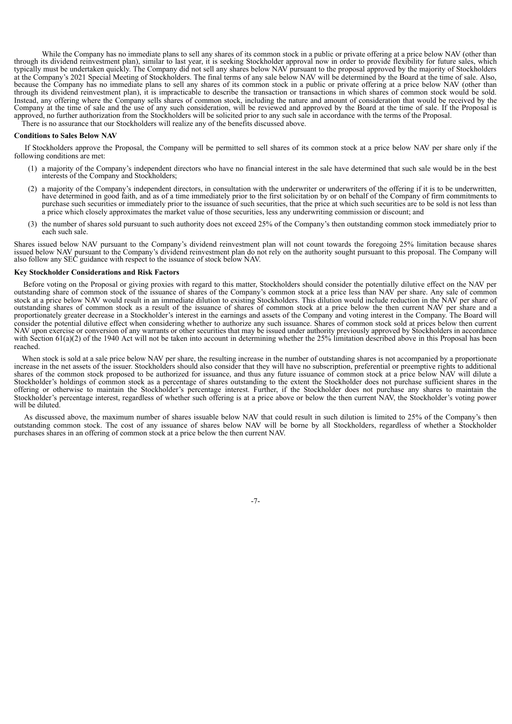While the Company has no immediate plans to sell any shares of its common stock in a public or private offering at a price below NAV (other than through its dividend reinvestment plan), similar to last year, it is seeking Stockholder approval now in order to provide flexibility for future sales, which typically must be undertaken quickly. The Company did not sell any shares below NAV pursuant to the proposal approved by the majority of Stockholders at the Company's 2021 Special Meeting of Stockholders. The final terms of any sale below NAV will be determined by the Board at the time of sale. Also, because the Company has no immediate plans to sell any shares of its common stock in a public or private offering at a price below NAV (other than through its dividend reinvestment plan), it is impracticable to describe the transaction or transactions in which shares of common stock would be sold. Instead, any offering where the Company sells shares of common stock, including the nature and amount of consideration that would be received by the Company at the time of sale and the use of any such consideration, will be reviewed and approved by the Board at the time of sale. If the Proposal is approved, no further authorization from the Stockholders will be solicited prior to any such sale in accordance with the terms of the Proposal. There is no assurance that our Stockholders will realize any of the benefits discussed above.

## **Conditions to Sales Below NAV**

If Stockholders approve the Proposal, the Company will be permitted to sell shares of its common stock at a price below NAV per share only if the following conditions are met:

- (1) a majority of the Company's independent directors who have no financial interest in the sale have determined that such sale would be in the best interests of the Company and Stockholders;
- (2) a majority of the Company's independent directors, in consultation with the underwriter or underwriters of the offering if it is to be underwritten, have determined in good faith, and as of a time immediately prior to the first solicitation by or on behalf of the Company of firm commitments to purchase such securities or immediately prior to the issuance of such securities, that the price at which such securities are to be sold is not less than a price which closely approximates the market value of those securities, less any underwriting commission or discount; and
- (3) the number of shares sold pursuant to such authority does not exceed 25% of the Company's then outstanding common stock immediately prior to each such sale.

Shares issued below NAV pursuant to the Company's dividend reinvestment plan will not count towards the foregoing 25% limitation because shares issued below NAV pursuant to the Company's dividend reinvestment plan do not rely on the authority sought pursuant to this proposal. The Company will also follow any SEC guidance with respect to the issuance of stock below NAV.

#### **Key Stockholder Considerations and Risk Factors**

Before voting on the Proposal or giving proxies with regard to this matter, Stockholders should consider the potentially dilutive effect on the NAV per outstanding share of common stock of the issuance of shares of the Company's common stock at a price less than NAV per share. Any sale of common stock at a price below NAV would result in an immediate dilution to existing Stockholders. This dilution would include reduction in the NAV per share of outstanding shares of common stock as a result of the issuance of shares of common stock at a price below the then current NAV per share and a proportionately greater decrease in a Stockholder's interest in the earnings and assets of the Company and voting interest in the Company. The Board will consider the potential dilutive effect when considering whether to authorize any such issuance. Shares of common stock sold at prices below then current NAV upon exercise or conversion of any warrants or other securities that may be issued under authority previously approved by Stockholders in accordance with Section 61(a)(2) of the 1940 Act will not be taken into account in determining whether the 25% limitation described above in this Proposal has been reached.

When stock is sold at a sale price below NAV per share, the resulting increase in the number of outstanding shares is not accompanied by a proportionate increase in the net assets of the issuer. Stockholders should also consider that they will have no subscription, preferential or preemptive rights to additional shares of the common stock proposed to be authorized for issuance, and thus any future issuance of common stock at a price below NAV will dilute a Stockholder's holdings of common stock as a percentage of shares outstanding to the extent the Stockholder does not purchase sufficient shares in the offering or otherwise to maintain the Stockholder's percentage interest. Further, if the Stockholder does not purchase any shares to maintain the Stockholder's percentage interest, regardless of whether such offering is at a price above or below the then current NAV, the Stockholder's voting power will be diluted

As discussed above, the maximum number of shares issuable below NAV that could result in such dilution is limited to 25% of the Company's then outstanding common stock. The cost of any issuance of shares below NAV will be borne by all Stockholders, regardless of whether a Stockholder purchases shares in an offering of common stock at a price below the then current NAV.

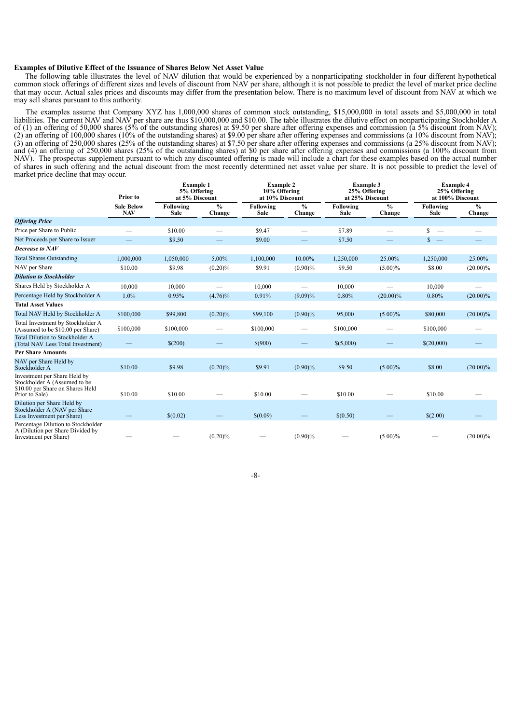## **Examples of Dilutive Effect of the Issuance of Shares Below Net Asset Value**

The following table illustrates the level of NAV dilution that would be experienced by a nonparticipating stockholder in four different hypothetical common stock offerings of different sizes and levels of discount from NAV per share, although it is not possible to predict the level of market price decline that may occur. Actual sales prices and discounts may differ from the presentation below. There is no maximum level of discount from NAV at which we may sell shares pursuant to this authority.

The examples assume that Company XYZ has 1,000,000 shares of common stock outstanding, \$15,000,000 in total assets and \$5,000,000 in total liabilities. The current NAV and NAV per share are thus \$10,000,000 and \$10.00. The table illustrates the dilutive effect on nonparticipating Stockholder A of (1) an offering of 50,000 shares (5% of the outstanding shares) at \$9.50 per share after offering expenses and commission (a 5% discount from NAV); (2) an offering of 100,000 shares (10% of the outstanding shares) at \$9.00 per share after offering expenses and commissions (a 10% discount from NAV); (3) an offering of 250,000 shares (25% of the outstanding shares) at \$7.50 per share after offering expenses and commissions (a 25% discount from NAV); and (4) an offering of 250,000 shares (25% of the outstanding shares) at \$0 per share after offering expenses and commissions (a  $100\%$  discount from  $(4)$ ) and  $(4)$  an offering of 250,000 shares (25% of the outstanding NAV). The prospectus supplement pursuant to which any discounted offering is made will include a chart for these examples based on the actual number of shares in such offering and the actual discount from the most recently determined net asset value per share. It is not possible to predict the level of market price decline that may occur.

|                                                                                                                    | Prior to                        |                   | <b>Example 1</b><br>5% Offering<br>at 5% Discount |                   | <b>Example 2</b><br>10% Offering<br>at 10% Discount |                   | Example 3<br>25% Offering<br>at 25% Discount |                                | <b>Example 4</b><br>25% Offering<br>at 100% Discount |  |
|--------------------------------------------------------------------------------------------------------------------|---------------------------------|-------------------|---------------------------------------------------|-------------------|-----------------------------------------------------|-------------------|----------------------------------------------|--------------------------------|------------------------------------------------------|--|
|                                                                                                                    | <b>Sale Below</b><br><b>NAV</b> | Following<br>Sale | $\frac{0}{0}$<br>Change                           | Following<br>Sale | $\%$<br>Change                                      | Following<br>Sale | $\frac{0}{0}$<br>Change                      | Following<br>Sale              | $\frac{0}{0}$<br>Change                              |  |
| <b>Offering Price</b>                                                                                              |                                 |                   |                                                   |                   |                                                     |                   |                                              |                                |                                                      |  |
| Price per Share to Public                                                                                          |                                 | \$10.00           |                                                   | \$9.47            |                                                     | \$7.89            |                                              | S.<br>$\overline{\phantom{0}}$ |                                                      |  |
| Net Proceeds per Share to Issuer                                                                                   |                                 | \$9.50            |                                                   | \$9.00            |                                                     | \$7.50            |                                              | $s -$                          |                                                      |  |
| Decrease to NAV                                                                                                    |                                 |                   |                                                   |                   |                                                     |                   |                                              |                                |                                                      |  |
| <b>Total Shares Outstanding</b>                                                                                    | 1,000,000                       | 1,050,000         | 5.00%                                             | 1,100,000         | 10.00%                                              | 1,250,000         | 25.00%                                       | 1,250,000                      | 25.00%                                               |  |
| NAV per Share                                                                                                      | \$10.00                         | \$9.98            | $(0.20)\%$                                        | \$9.91            | $(0.90)\%$                                          | \$9.50            | $(5.00)\%$                                   | \$8.00                         | $(20.00)\%$                                          |  |
| <b>Dilution to Stockholder</b>                                                                                     |                                 |                   |                                                   |                   |                                                     |                   |                                              |                                |                                                      |  |
| Shares Held by Stockholder A                                                                                       | 10,000                          | 10,000            |                                                   | 10,000            |                                                     | 10,000            |                                              | 10,000                         |                                                      |  |
| Percentage Held by Stockholder A                                                                                   | 1.0%                            | 0.95%             | $(4.76)\%$                                        | 0.91%             | $(9.09)\%$                                          | 0.80%             | $(20.00)\%$                                  | 0.80%                          | $(20.00)\%$                                          |  |
| <b>Total Asset Values</b>                                                                                          |                                 |                   |                                                   |                   |                                                     |                   |                                              |                                |                                                      |  |
| Total NAV Held by Stockholder A                                                                                    | \$100,000                       | \$99,800          | $(0.20)\%$                                        | \$99,100          | $(0.90)\%$                                          | 95,000            | $(5.00)\%$                                   | \$80,000                       | $(20.00)\%$                                          |  |
| Total Investment by Stockholder A<br>(Assumed to be \$10.00 per Share)                                             | \$100,000                       | \$100,000         |                                                   | \$100,000         |                                                     | \$100,000         |                                              | \$100,000                      |                                                      |  |
| Total Dilution to Stockholder A<br>(Total NAV Less Total Investment)                                               |                                 | \$(200)           |                                                   | \$(900)           |                                                     | \$(5,000)         |                                              | \$(20,000)                     |                                                      |  |
| <b>Per Share Amounts</b>                                                                                           |                                 |                   |                                                   |                   |                                                     |                   |                                              |                                |                                                      |  |
| NAV per Share Held by<br>Stockholder A                                                                             | \$10.00                         | \$9.98            | $(0.20)\%$                                        | \$9.91            | $(0.90)\%$                                          | \$9.50            | $(5.00)\%$                                   | \$8.00                         | $(20.00)\%$                                          |  |
| Investment per Share Held by<br>Stockholder A (Assumed to be<br>\$10.00 per Share on Shares Held<br>Prior to Sale) | \$10.00                         | \$10.00           |                                                   | \$10.00           |                                                     | \$10.00           |                                              | \$10.00                        |                                                      |  |
| Dilution per Share Held by<br>Stockholder A (NAV per Share)<br>Less Investment per Share)                          |                                 | \$(0.02)          |                                                   | \$(0.09)          |                                                     | \$(0.50)          |                                              | \$(2.00)                       |                                                      |  |
| Percentage Dilution to Stockholder<br>A (Dilution per Share Divided by<br>Investment per Share)                    |                                 |                   | $(0.20)\%$                                        |                   | $(0.90)\%$                                          |                   | $(5.00)\%$                                   |                                | $(20.00)\%$                                          |  |

-8-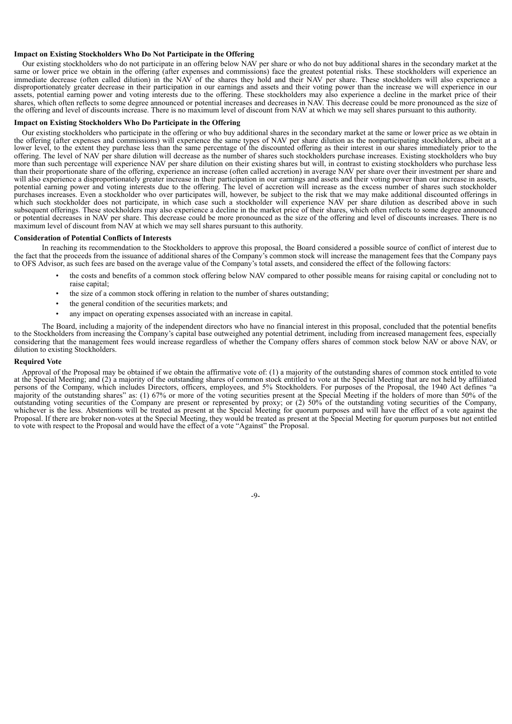### **Impact on Existing Stockholders Who Do Not Participate in the Offering**

Our existing stockholders who do not participate in an offering below NAV per share or who do not buy additional shares in the secondary market at the same or lower price we obtain in the offering (after expenses and commissions) face the greatest potential risks. These stockholders will experience an immediate decrease (often called dilution) in the NAV of the shares they hold and their NAV per share. These stockholders will also experience a disproportionately greater decrease in their participation in our earnings and assets and their voting power than the increase we will experience in our assets, potential earning power and voting interests due to the offering. These stockholders may also experience a decline in the market price of their shares, which often reflects to some degree announced or potential increases and decreases in NAV. This decrease could be more pronounced as the size of the offering and level of discounts increase. There is no maximum level of discount from NAV at which we may sell shares pursuant to this authority.

## **Impact on Existing Stockholders Who Do Participate in the Offering**

Our existing stockholders who participate in the offering or who buy additional shares in the secondary market at the same or lower price as we obtain in the offering (after expenses and commissions) will experience the same types of NAV per share dilution as the nonparticipating stockholders, albeit at a lower level, to the extent they purchase less than the same percentage of the discounted offering as their interest in our shares immediately prior to the offering. The level of NAV per share dilution will decrease as the number of shares such stockholders purchase increases. Existing stockholders who buy more than such percentage will experience NAV per share dilution on their existing shares but will, in contrast to existing stockholders who purchase less than their proportionate share of the offering, experience an increase (often called accretion) in average NAV per share over their investment per share and will also experience a disproportionately greater increase in their participation in our earnings and assets and their voting power than our increase in assets, potential earning power and voting interests due to the offering. The level of accretion will increase as the excess number of shares such stockholder purchases increases. Even a stockholder who over participates will, however, be subject to the risk that we may make additional discounted offerings in which such stockholder does not participate, in which case such a stockholder will experience NAV per share dilution as described above in such subsequent offerings. These stockholders may also experience a decline in the market price of their shares, which often reflects to some degree announced or potential decreases in NAV per share. This decrease could be more pronounced as the size of the offering and level of discounts increases. There is no maximum level of discount from NAV at which we may sell shares pursuant to this authority.

#### **Consideration of Potential Conflicts of Interests**

In reaching its recommendation to the Stockholders to approve this proposal, the Board considered a possible source of conflict of interest due to the fact that the proceeds from the issuance of additional shares of the Company's common stock will increase the management fees that the Company pays to OFS Advisor, as such fees are based on the average value of the Company's total assets, and considered the effect of the following factors:

- the costs and benefits of a common stock offering below NAV compared to other possible means for raising capital or concluding not to raise capital;
- the size of a common stock offering in relation to the number of shares outstanding;
- the general condition of the securities markets; and
- any impact on operating expenses associated with an increase in capital.

The Board, including a majority of the independent directors who have no financial interest in this proposal, concluded that the potential benefits to the Stockholders from increasing the Company's capital base outweighed any potential detriment, including from increased management fees, especially considering that the management fees would increase regardless of whether the Company offers shares of common stock below NAV or above NAV, or dilution to existing Stockholders.

#### **Required Vote**

Approval of the Proposal may be obtained if we obtain the affirmative vote of: (1) a majority of the outstanding shares of common stock entitled to vote at the Special Meeting; and (2) a majority of the outstanding shares of common stock entitled to vote at the Special Meeting that are not held by affiliated persons of the Company, which includes Directors, officers, employees, and 5% Stockholders. For purposes of the Proposal, the 1940 Act defines "a majority of the outstanding shares" as: (1) 67% or more of the voting securities present at the Special Meeting if the holders of more than 50% of the outstanding voting securities of the Company are present or represented by proxy; or (2) 50% of the outstanding voting securities of the Company, whichever is the less. Abstentions will be treated as present at the Special Meeting for quorum purposes and will have the effect of a vote against the Proposal. If there are broker non-votes at the Special Meeting, they would be treated as present at the Special Meeting for quorum purposes but not entitled to vote with respect to the Proposal and would have the effect of a vote "Against" the Proposal.

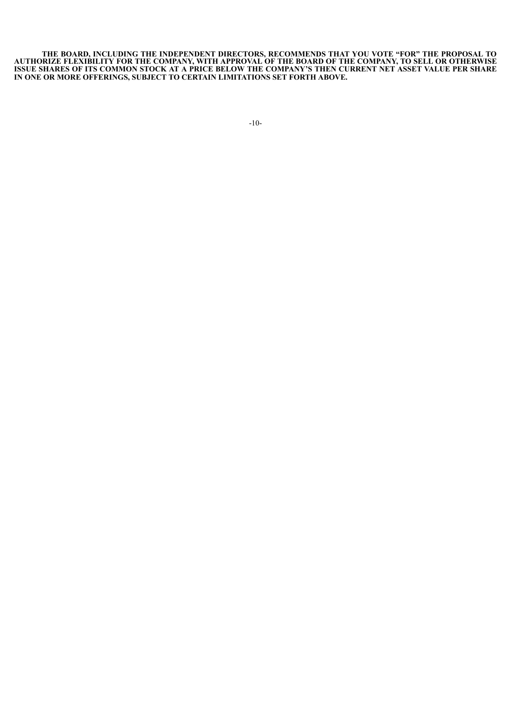**THE BOARD, INCLUDING THE INDEPENDENT DIRECTORS, RECOMMENDS THAT YOU VOTE "FOR" THE PROPOSAL TO AUTHORIZE FLEXIBILITY FOR THE COMPANY, WITH APPROVAL OF THE BOARD OF THE COMPANY, TO SELL OR OTHERWISE** ISSUE SHARES OF ITS COMMON STOCK AT A PRICE BELOW THE COMPANY'S THEN CURRENT NET ASSET VALUE PER SHARE **IN ONE OR MORE OFFERINGS, SUBJECT TO CERTAIN LIMITATIONS SET FORTH ABOVE.**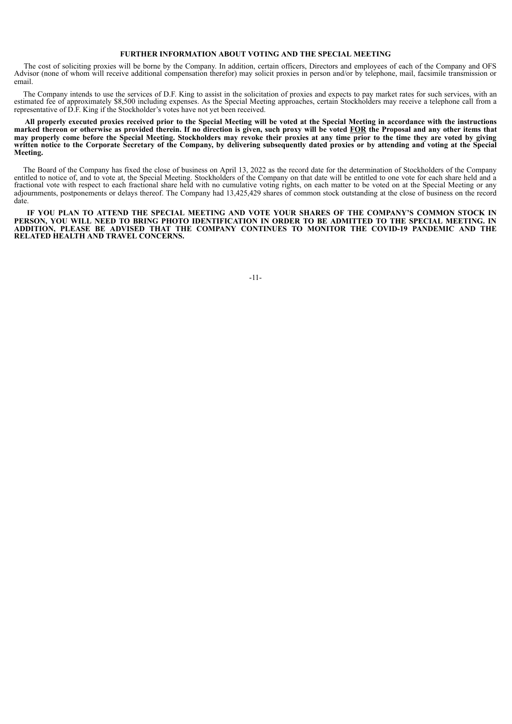## **FURTHER INFORMATION ABOUT VOTING AND THE SPECIAL MEETING**

The cost of soliciting proxies will be borne by the Company. In addition, certain officers, Directors and employees of each of the Company and OFS Advisor (none of whom will receive additional compensation therefor) may solicit proxies in person and/or by telephone, mail, facsimile transmission or email.

The Company intends to use the services of D.F. King to assist in the solicitation of proxies and expects to pay market rates for such services, with an estimated fee of approximately \$8,500 including expenses. As the Special Meeting approaches, certain Stockholders may receive a telephone call from a representative of D.F. King if the Stockholder's votes have not yet been received.

All properly executed proxies received prior to the Special Meeting will be voted at the Special Meeting in accordance with the instructions marked thereon or otherwise as provided therein. If no direction is given, such proxy will be voted FOR the Proposal and any other items that may properly come before the Special Meeting. Stockholders may revoke their proxies at any time prior to the time they are voted by giving written notice to the Corporate Secretary of the Company, by delivering subsequently dated proxies or by attending and voting at the Special **Meeting.**

The Board of the Company has fixed the close of business on April 13, 2022 as the record date for the determination of Stockholders of the Company entitled to notice of, and to vote at, the Special Meeting. Stockholders of the Company on that date will be entitled to one vote for each share held and a fractional vote with respect to each fractional share held with no cumulative voting rights, on each matter to be voted on at the Special Meeting or any adjournments, postponements or delays thereof. The Company had 13,425,429 shares of common stock outstanding at the close of business on the record date.

**IF YOU PLAN TO ATTEND THE SPECIAL MEETING AND VOTE YOUR SHARES OF THE COMPANY'S COMMON STOCK IN** PERSON, YOU WILL NEED TO BRING PHOTO IDENTIFICATION IN ORDER TO BE ADMITTED TO THE SPECIAL MEETING. IN **ADDITION, PLEASE BE ADVISED THAT THE COMPANY CONTINUES TO MONITOR THE COVID-19 PANDEMIC AND THE RELATED HEALTH AND TRAVEL CONCERNS.**

-11-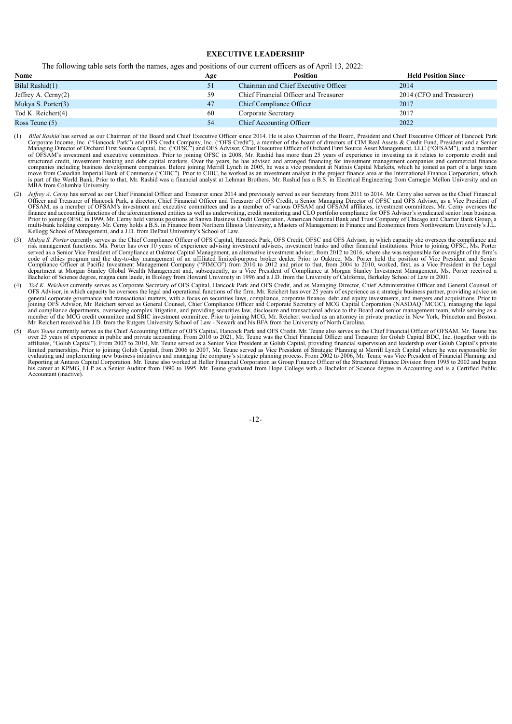### **EXECUTIVE LEADERSHIP**

The following table sets forth the names, ages and positions of our current officers as of April 13, 2022:

| Name                   | Age | <b>Position</b>                       | <b>Held Position Since</b> |
|------------------------|-----|---------------------------------------|----------------------------|
| Bilal Rashid(1)        | 51  | Chairman and Chief Executive Officer  | 2014                       |
| Jeffrey A. Cerny $(2)$ | 59  | Chief Financial Officer and Treasurer | 2014 (CFO and Treasurer)   |
| Mukya S. Porter(3)     | 47  | Chief Compliance Officer              | 2017                       |
| Tod K. Reichert(4)     | 60  | Corporate Secretary                   | 2017                       |
| Ross Teune $(5)$       | 54  | <b>Chief Accounting Officer</b>       | 2022                       |

- (1) *Bilal Rashid* has served as our Chairman of the Board and Chief Executive Officer since 2014. He is also Chairman of the Board, President and Chief Executive Officer of Hancock Park Corporate Income, Inc. ("Hancock Park") and OFS Credit Company, Inc. ("OFS Credit"), a member of the board of directors of CIM Real Assets & Credit Fund, President and a Senior<br>Managing Director of Orchard First Source Cap structured credit, investment banking and debt capital markets. Over the years, he has advised and arranged financing for investment management companies and commercial finance<br>companies including business development comp move from Canadian Imperial Bank of Commerce ("CIBC"). Prior to CIBC, he worked as an investment analyst in the project finance area at the International Finance Corporation, which is part of the World Bank. Prior to that, Mr. Rashid was <sup>a</sup> financial analyst at Lehman Brothers. Mr. Rashid has <sup>a</sup> B.S. in Electrical Engineering from Carnegie Mellon University and an MBA from Columbia University.
- (2) *Jeffrey A. Cerny* has served as our Chief Financial Officer and Treasurer since 2014 and previously served as our Secretary from 2011 to 2014. Mr. Cerny also serves as the Chief Financial Officer and Treasurer of Hanc Prior to joining OFSC in 1999, Mr. Cerny held various positions at Sanwa Business Credit Corporation, American National Bank and Trust Company of Chicago and Charter Bank Group, a<br>multi-bank holding company. Mr. Cerny hold Kellogg School of Management, and a J.D. from DePaul University's School of Law.
- (3) *Mukya S. Porter* currently serves as the Chief Compliance Officer of OFS Capital, Hancock Park, OFS Credit, OFSC and OFS Advisor, in which capacity she oversees the compliance and risk management functions. Ms. Porter code of ethics program and the day-to-day management of an affiliated limited-purpose broker dealer. Prior to Oaktree, Ms. Porter held the position of Vice President and Senior Compliance Officer at Pacific Investment Mana
- Tod *K. Reichert* currently serves as Corporate Secretary of OFS Capital, Hancock Park and OFS Credit, and as Managing Director, Chief Administrative Officer and General Counsel of OFS Advisor, in which capacity he oversees the legal and operational functions of the firm. Mr. Reichert has over 25 years of experience as a strategic business partner, providing advice on general corporate governance and transactional matters, with a focus on securities laws, compliance, corporate finance, debt and equity investments, and mergers and acquisitions. Prior to joining OFS Advisor, Mr. Reichert and compliance departments, overseeing complex litigation, and providing securities law, disclosure and transactional advice to the Board and senior management team, while serving as a<br>member of the MCG credit committee an
- (5) Ross Teune currently serves as the Chief Accounting Officer of OFS Capital, Hancock Park and OFS Credit. Mr. Teune also serves as the Chief Financial Officer of OFSAM. Mr. Teune has over 25 years of experience in publi his career at KPMG, LLP as a Senior Auditor from 1990 to 1995. Mr. Teune graduated from Hope College with a Bachelor of Science degree in Accounting and is a Certified Public Accountant (inactive).

-12-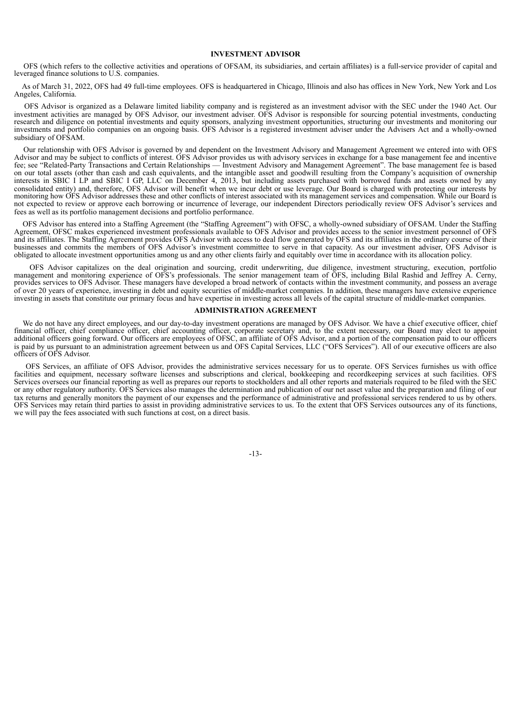## **INVESTMENT ADVISOR**

OFS (which refers to the collective activities and operations of OFSAM, its subsidiaries, and certain affiliates) is a full-service provider of capital and leveraged finance solutions to U.S. companies.

As of March 31, 2022, OFS had 49 full-time employees. OFS is headquartered in Chicago, Illinois and also has offices in New York, New York and Los Angeles, California.

OFS Advisor is organized as a Delaware limited liability company and is registered as an investment advisor with the SEC under the 1940 Act. Our investment activities are managed by OFS Advisor, our investment adviser. OFS Advisor is responsible for sourcing potential investments, conducting research and diligence on potential investments and equity sponsors, analyzing investment opportunities, structuring our investments and monitoring our investments and portfolio companies on an ongoing basis. OFS Advisor is a registered investment adviser under the Advisers Act and a wholly-owned subsidiary of OFSAM.

Our relationship with OFS Advisor is governed by and dependent on the Investment Advisory and Management Agreement we entered into with OFS Advisor and may be subject to conflicts of interest. OFS Advisor provides us with advisory services in exchange for a base management fee and incentive fee; see "Related-Party Transactions and Certain Relationships — Investment Advisory and Management Agreement". The base management fee is based on our total assets (other than cash and cash equivalents, and the intangible asset and goodwill resulting from the Company's acquisition of ownership interests in SBIC I LP and SBIC I GP, LLC on December 4, 2013, but including assets purchased with borrowed funds and assets owned by any consolidated entity) and, therefore, OFS Advisor will benefit when we incur debt or use leverage. Our Board is charged with protecting our interests by monitoring how OFS Advisor addresses these and other conflicts of interest associated with its management services and compensation. While our Board is not expected to review or approve each borrowing or incurrence of leverage, our independent Directors periodically review OFS Advisor's services and fees as well as its portfolio management decisions and portfolio performance.

OFS Advisor has entered into a Staffing Agreement (the "Staffing Agreement") with OFSC, a wholly-owned subsidiary of OFSAM. Under the Staffing Agreement, OFSC makes experienced investment professionals available to OFS Advisor and provides access to the senior investment personnel of OFS and its affiliates. The Staffing Agreement provides OFS Advisor with access to deal flow generated by OFS and its affiliates in the ordinary course of their businesses and commits the members of OFS Advisor's investment committee to serve in that capacity. As our investment adviser, OFS Advisor is obligated to allocate investment opportunities among us and any other clients fairly and equitably over time in accordance with its allocation policy.

OFS Advisor capitalizes on the deal origination and sourcing, credit underwriting, due diligence, investment structuring, execution, portfolio management and monitoring experience of OFS's professionals. The senior management team of OFS, including Bilal Rashid and Jeffrey A. Cerny, provides services to OFS Advisor. These managers have developed a broad network of contacts within the investment community, and possess an average of over 20 years of experience, investing in debt and equity securities of middle-market companies. In addition, these managers have extensive experience investing in assets that constitute our primary focus and have expertise in investing across all levels of the capital structure of middle-market companies.

#### **ADMINISTRATION AGREEMENT**

We do not have any direct employees, and our day-to-day investment operations are managed by OFS Advisor. We have a chief executive officer, chief financial officer, chief compliance officer, chief accounting officer, corporate secretary and, to the extent necessary, our Board may elect to appoint additional officers going forward. Our officers are employees of OFSC, an affiliate of OFS Advisor, and a portion of the compensation paid to our officers is paid by us pursuant to an administration agreement between us and OFS Capital Services, LLC ("OFS Services"). All of our executive officers are also officers of OFS Advisor.

OFS Services, an affiliate of OFS Advisor, provides the administrative services necessary for us to operate. OFS Services furnishes us with office facilities and equipment, necessary software licenses and subscriptions and clerical, bookkeeping and recordkeeping services at such facilities. OFS Services oversees our financial reporting as well as prepares our reports to stockholders and all other reports and materials required to be filed with the SEC or any other regulatory authority. OFS Services also manages the determination and publication of our net asset value and the preparation and filing of our tax returns and generally monitors the payment of our expenses and the performance of administrative and professional services rendered to us by others. OFS Services may retain third parties to assist in providing administrative services to us. To the extent that OFS Services outsources any of its functions, we will pay the fees associated with such functions at cost, on a direct basis.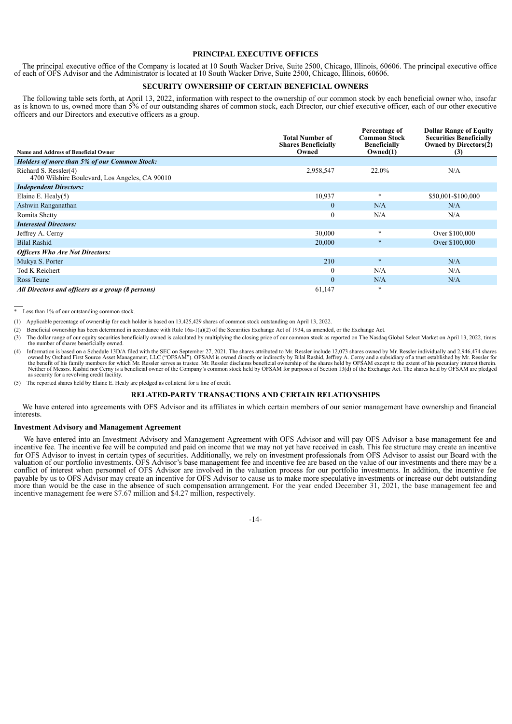## **PRINCIPAL EXECUTIVE OFFICES**

The principal executive office of the Company is located at 10 South Wacker Drive, Suite 2500, Chicago, Illinois, 60606. The principal executive office of each of OFS Advisor and the Administrator is located at 10 South Wacker Drive, Suite 2500, Chicago, Illinois, 60606.

## **SECURITY OWNERSHIP OF CERTAIN BENEFICIAL OWNERS**

The following table sets forth, at April 13, 2022, information with respect to the ownership of our common stock by each beneficial owner who, insofar as is known to us, owned more than 5% of our outstanding shares of common stock, each Director, our chief executive officer, each of our other executive officers and our Directors and executive officers as a group.

| <b>Name and Address of Beneficial Owner</b>                             | <b>Total Number of</b><br><b>Shares Beneficially</b><br>Owned | Percentage of<br><b>Common Stock</b><br><b>Beneficially</b><br>Owned(1) | <b>Dollar Range of Equity</b><br><b>Securities Beneficially</b><br>Owned by Directors(2)<br>(3) |
|-------------------------------------------------------------------------|---------------------------------------------------------------|-------------------------------------------------------------------------|-------------------------------------------------------------------------------------------------|
| <b>Holders of more than 5% of our Common Stock:</b>                     |                                                               |                                                                         |                                                                                                 |
| Richard S. Ressler(4)<br>4700 Wilshire Boulevard, Los Angeles, CA 90010 | 2,958,547                                                     | 22.0%                                                                   | N/A                                                                                             |
| <b>Independent Directors:</b>                                           |                                                               |                                                                         |                                                                                                 |
| Elaine E. Healy $(5)$                                                   | 10,937                                                        | $\ast$                                                                  | \$50,001-\$100,000                                                                              |
| Ashwin Ranganathan                                                      | $\boldsymbol{0}$                                              | N/A                                                                     | N/A                                                                                             |
| Romita Shetty                                                           | $\boldsymbol{0}$                                              | N/A                                                                     | N/A                                                                                             |
| <b>Interested Directors:</b>                                            |                                                               |                                                                         |                                                                                                 |
| Jeffrey A. Cerny                                                        | 30,000                                                        | $\ast$                                                                  | Over \$100,000                                                                                  |
| <b>Bilal Rashid</b>                                                     | 20,000                                                        | $\ast$                                                                  | Over \$100,000                                                                                  |
| <b>Officers Who Are Not Directors:</b>                                  |                                                               |                                                                         |                                                                                                 |
| Mukya S. Porter                                                         | 210                                                           | $\ast$                                                                  | N/A                                                                                             |
| Tod K Reichert                                                          | $\theta$                                                      | N/A                                                                     | N/A                                                                                             |
| Ross Teune                                                              | $\mathbf{0}$                                                  | N/A                                                                     | N/A                                                                                             |
| All Directors and officers as a group (8 persons)                       | 61,147                                                        | $\ast$                                                                  |                                                                                                 |

\* Less than 1% of our outstanding common stock.

(1) Applicable percentage of ownership for each holder is based on 13,425,429 shares of common stock outstanding on April 13, 2022.

(2) Beneficial ownership has been determined in accordance with Rule 16a-1(a)(2) of the Securities Exchange Act of 1934, as amended, or the Exchange Act.

(3) The dollar range of our equity securities beneficially owned is calculated by multiplying the closing price of our common stock as reported on The Nasdaq Global Select Market on April 13, 2022, times the number of shares beneficially owned.

(4) Information is based on a Schedule 13D/A filed with the SEC on September 27, 2021. The shares attributed to Mr. Ressler include 12,073 shares owned by Mr. Ressler individually and 2,946,474 shares owned by Orchard Firs as security for a revolving credit facility.

(5) The reported shares held by Elaine E. Healy are pledged as collateral for a line of credit.

## **RELATED-PARTY TRANSACTIONS AND CERTAIN RELATIONSHIPS**

We have entered into agreements with OFS Advisor and its affiliates in which certain members of our senior management have ownership and financial **interests** 

#### **Investment Advisory and Management Agreement**

We have entered into an Investment Advisory and Management Agreement with OFS Advisor and will pay OFS Advisor a base management fee and incentive fee. The incentive fee will be computed and paid on income that we may not yet have received in cash. This fee structure may create an incentive for OFS Advisor to invest in certain types of securities. Additionally, we rely on investment professionals from OFS Advisor to assist our Board with the valuation of our portfolio investments. OFS Advisor's base management fee and incentive fee are based on the value of our investments and there may be a conflict of interest when personnel of OFS Advisor are involved in the valuation process for our portfolio investments. In addition, the incentive fee payable by us to OFS Advisor may create an incentive for OFS Advisor to cause us to make more speculative investments or increase our debt outstanding more than would be the case in the absence of such compensation arrangement. For the year ended December 31, 2021, the base management fee and incentive management fee were \$7.67 million and \$4.27 million, respectively.

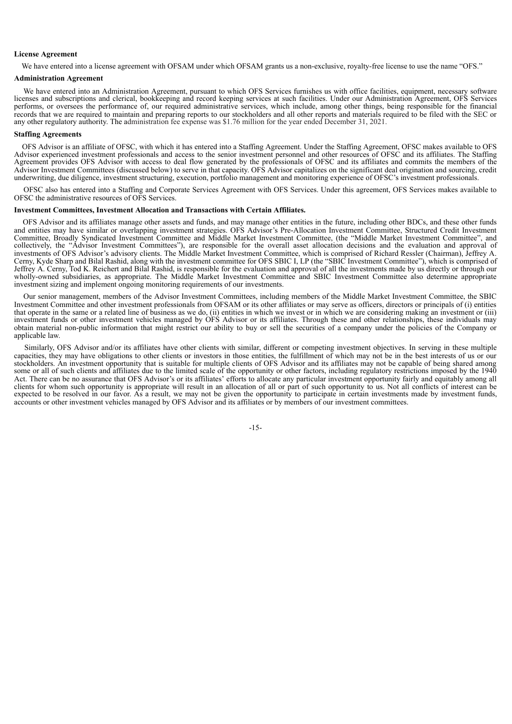#### **License Agreement**

We have entered into a license agreement with OFSAM under which OFSAM grants us a non-exclusive, royalty-free license to use the name "OFS."

## **Administration Agreement**

We have entered into an Administration Agreement, pursuant to which OFS Services furnishes us with office facilities, equipment, necessary software licenses and subscriptions and clerical, bookkeeping and record keeping services at such facilities. Under our Administration Agreement, OFS Services performs, or oversees the performance of, our required administrative services, which include, among other things, being responsible for the financial records that we are required to maintain and preparing reports to our stockholders and all other reports and materials required to be filed with the SEC or any other regulatory authority. The administration fee expense was \$1.76 million for the year ended December 31, 2021.

#### **Staffing Agreements**

OFS Advisor is an affiliate of OFSC, with which it has entered into a Staffing Agreement. Under the Staffing Agreement, OFSC makes available to OFS Advisor experienced investment professionals and access to the senior investment personnel and other resources of OFSC and its affiliates. The Staffing Agreement provides OFS Advisor with access to deal flow generated by the professionals of OFSC and its affiliates and commits the members of the Advisor Investment Committees (discussed below) to serve in that capacity. OFS Advisor capitalizes on the significant deal origination and sourcing, credit underwriting, due diligence, investment structuring, execution, portfolio management and monitoring experience of OFSC's investment professionals.

OFSC also has entered into a Staffing and Corporate Services Agreement with OFS Services. Under this agreement, OFS Services makes available to OFSC the administrative resources of OFS Services.

### **Investment Committees, Investment Allocation and Transactions with Certain Affiliates.**

OFS Advisor and its affiliates manage other assets and funds, and may manage other entities in the future, including other BDCs, and these other funds and entities may have similar or overlapping investment strategies. OFS Advisor's Pre-Allocation Investment Committee, Structured Credit Investment Committee, Broadly Syndicated Investment Committee and Middle Market Investment Committee, (the "Middle Market Investment Committee", and collectively, the "Advisor Investment Committees"), are responsible for the overall asset allocation decisions and the evaluation and approval of investments of OFS Advisor's advisory clients. The Middle Market Investment Committee, which is comprised of Richard Ressler (Chairman), Jeffrey A. Cerny, Kyde Sharp and Bilal Rashid, along with the investment committee for OFS SBIC I, LP (the "SBIC Investment Committee"), which is comprised of Jeffrey A. Cerny, Tod K. Reichert and Bilal Rashid, is responsible for the evaluation and approval of all the investments made by us directly or through our wholly-owned subsidiaries, as appropriate. The Middle Market Investment Committee and SBIC Investment Committee also determine appropriate investment sizing and implement ongoing monitoring requirements of our investments.

Our senior management, members of the Advisor Investment Committees, including members of the Middle Market Investment Committee, the SBIC Investment Committee and other investment professionals from OFSAM or its other affiliates or may serve as officers, directors or principals of (i) entities that operate in the same or a related line of business as we do, (ii) entities in which we invest or in which we are considering making an investment or (iii) investment funds or other investment vehicles managed by OFS Advisor or its affiliates. Through these and other relationships, these individuals may obtain material non-public information that might restrict our ability to buy or sell the securities of a company under the policies of the Company or applicable law.

Similarly, OFS Advisor and/or its affiliates have other clients with similar, different or competing investment objectives. In serving in these multiple capacities, they may have obligations to other clients or investors in those entities, the fulfillment of which may not be in the best interests of us or our stockholders. An investment opportunity that is suitable for multiple clients of OFS Advisor and its affiliates may not be capable of being shared among some or all of such clients and affiliates due to the limited scale of the opportunity or other factors, including regulatory restrictions imposed by the 1940 Act. There can be no assurance that OFS Advisor's or its affiliates' efforts to allocate any particular investment opportunity fairly and equitably among all clients for whom such opportunity is appropriate will result in an allocation of all or part of such opportunity to us. Not all conflicts of interest can be expected to be resolved in our favor. As a result, we may not be given the opportunity to participate in certain investments made by investment funds, accounts or other investment vehicles managed by OFS Advisor and its affiliates or by members of our investment committees.

-15-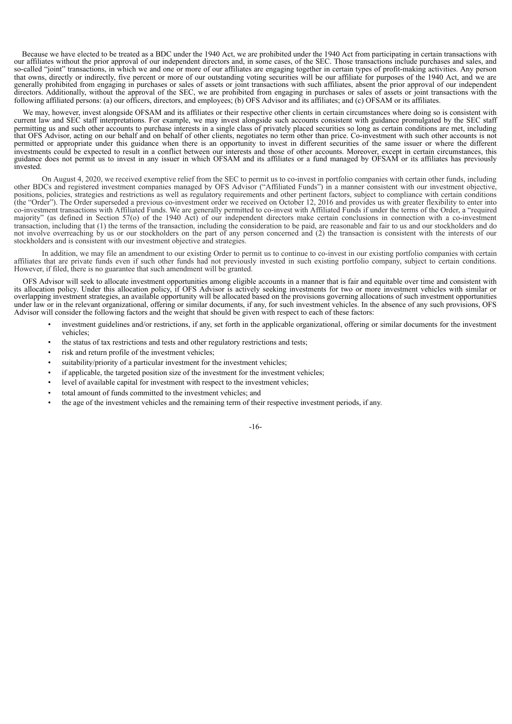Because we have elected to be treated as a BDC under the 1940 Act, we are prohibited under the 1940 Act from participating in certain transactions with our affiliates without the prior approval of our independent directors and, in some cases, of the SEC. Those transactions include purchases and sales, and so-called "joint" transactions, in which we and one or more of our affiliates are engaging together in certain types of profit-making activities. Any person that owns, directly or indirectly, five percent or more of our outstanding voting securities will be our affiliate for purposes of the 1940 Act, and we are generally prohibited from engaging in purchases or sales of assets or joint transactions with such affiliates, absent the prior approval of our independent directors. Additionally, without the approval of the SEC, we are prohibited from engaging in purchases or sales of assets or joint transactions with the following affiliated persons: (a) our officers, directors, and employees; (b) OFS Advisor and its affiliates; and (c) OFSAM or its affiliates.

We may, however, invest alongside OFSAM and its affiliates or their respective other clients in certain circumstances where doing so is consistent with current law and SEC staff interpretations. For example, we may invest alongside such accounts consistent with guidance promulgated by the SEC staff permitting us and such other accounts to purchase interests in a single class of privately placed securities so long as certain conditions are met, including that OFS Advisor, acting on our behalf and on behalf of other clients, negotiates no term other than price. Co-investment with such other accounts is not permitted or appropriate under this guidance when there is an opportunity to invest in different securities of the same issuer or where the different investments could be expected to result in a conflict between our interests and those of other accounts. Moreover, except in certain circumstances, this guidance does not permit us to invest in any issuer in which OFSAM and its affiliates or a fund managed by OFSAM or its affiliates has previously invested.

On August 4, 2020, we received exemptive relief from the SEC to permit us to co-invest in portfolio companies with certain other funds, including other BDCs and registered investment companies managed by OFS Advisor ("Affiliated Funds") in a manner consistent with our investment objective, positions, policies, strategies and restrictions as well as regulatory requirements and other pertinent factors, subject to compliance with certain conditions (the "Order"). The Order superseded a previous co-investment order we received on October 12, 2016 and provides us with greater flexibility to enter into co-investment transactions with Affiliated Funds. We are generally permitted to co-invest with Affiliated Funds if under the terms of the Order, a "required majority" (as defined in Section 57(o) of the 1940 Act) of our independent directors make certain conclusions in connection with a co-investment transaction, including that (1) the terms of the transaction, including the consideration to be paid, are reasonable and fair to us and our stockholders and do not involve overreaching by us or our stockholders on the part of any person concerned and (2) the transaction is consistent with the interests of our stockholders and is consistent with our investment objective and strategies.

In addition, we may file an amendment to our existing Order to permit us to continue to co-invest in our existing portfolio companies with certain affiliates that are private funds even if such other funds had not previously invested in such existing portfolio company, subject to certain conditions. However, if filed, there is no guarantee that such amendment will be granted.

OFS Advisor will seek to allocate investment opportunities among eligible accounts in a manner that is fair and equitable over time and consistent with its allocation policy. Under this allocation policy, if OFS Advisor is actively seeking investments for two or more investment vehicles with similar or overlapping investment strategies, an available opportunity will be allocated based on the provisions governing allocations of such investment opportunities under law or in the relevant organizational, offering or similar documents, if any, for such investment vehicles. In the absence of any such provisions, OFS Advisor will consider the following factors and the weight that should be given with respect to each of these factors:

- investment guidelines and/or restrictions, if any, set forth in the applicable organizational, offering or similar documents for the investment vehicles;
- the status of tax restrictions and tests and other regulatory restrictions and tests;
- risk and return profile of the investment vehicles;
- suitability/priority of a particular investment for the investment vehicles;
- if applicable, the targeted position size of the investment for the investment vehicles;
- level of available capital for investment with respect to the investment vehicles;
- total amount of funds committed to the investment vehicles; and
- the age of the investment vehicles and the remaining term of their respective investment periods, if any.

-16-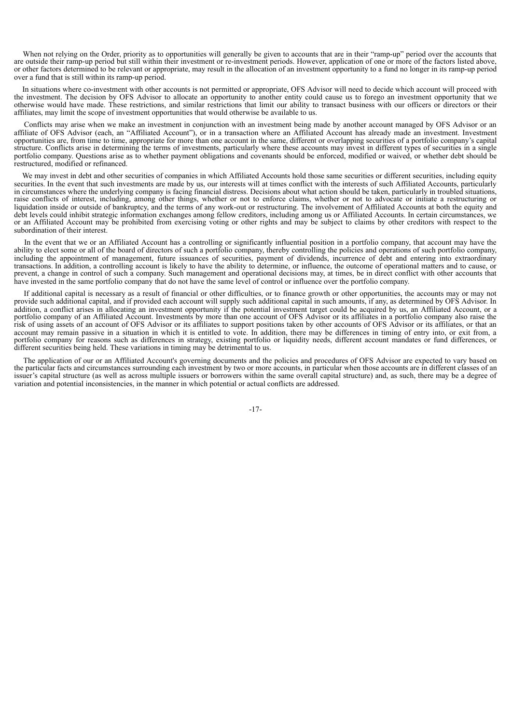When not relying on the Order, priority as to opportunities will generally be given to accounts that are in their "ramp-up" period over the accounts that are outside their ramp-up period but still within their investment or re-investment periods. However, application of one or more of the factors listed above, or other factors determined to be relevant or appropriate, may result in the allocation of an investment opportunity to a fund no longer in its ramp-up period over a fund that is still within its ramp-up period.

In situations where co-investment with other accounts is not permitted or appropriate, OFS Advisor will need to decide which account will proceed with the investment. The decision by OFS Advisor to allocate an opportunity to another entity could cause us to forego an investment opportunity that we otherwise would have made. These restrictions, and similar restrictions that limit our ability to transact business with our officers or directors or their affiliates, may limit the scope of investment opportunities that would otherwise be available to us.

Conflicts may arise when we make an investment in conjunction with an investment being made by another account managed by OFS Advisor or an affiliate of OFS Advisor (each, an "Affiliated Account"), or in a transaction where an Affiliated Account has already made an investment. Investment opportunities are, from time to time, appropriate for more than one account in the same, different or overlapping securities of a portfolio company's capital structure. Conflicts arise in determining the terms of investments, particularly where these accounts may invest in different types of securities in a single portfolio company. Questions arise as to whether payment obligations and covenants should be enforced, modified or waived, or whether debt should be restructured, modified or refinanced.

We may invest in debt and other securities of companies in which Affiliated Accounts hold those same securities or different securities, including equity securities. In the event that such investments are made by us, our interests will at times conflict with the interests of such Affiliated Accounts, particularly in circumstances where the underlying company is facing financial distress. Decisions about what action should be taken, particularly in troubled situations, raise conflicts of interest, including, among other things, whether or not to enforce claims, whether or not to advocate or initiate a restructuring or liquidation inside or outside of bankruptcy, and the terms of any work-out or restructuring. The involvement of Affiliated Accounts at both the equity and debt levels could inhibit strategic information exchanges among fellow creditors, including among us or Affiliated Accounts. In certain circumstances, we or an Affiliated Account may be prohibited from exercising voting or other rights and may be subject to claims by other creditors with respect to the subordination of their interest.

In the event that we or an Affiliated Account has a controlling or significantly influential position in a portfolio company, that account may have the ability to elect some or all of the board of directors of such a portfolio company, thereby controlling the policies and operations of such portfolio company, including the appointment of management, future issuances of securities, payment of dividends, incurrence of debt and entering into extraordinary transactions. In addition, a controlling account is likely to have the ability to determine, or influence, the outcome of operational matters and to cause, or prevent, a change in control of such a company. Such management and operational decisions may, at times, be in direct conflict with other accounts that have invested in the same portfolio company that do not have the same level of control or influence over the portfolio company.

If additional capital is necessary as a result of financial or other difficulties, or to finance growth or other opportunities, the accounts may or may not provide such additional capital, and if provided each account will supply such additional capital in such amounts, if any, as determined by OFS Advisor. In addition, a conflict arises in allocating an investment opportunity if the potential investment target could be acquired by us, an Affiliated Account, or a portfolio company of an Affiliated Account. Investments by more than one account of OFS Advisor or its affiliates in a portfolio company also raise the risk of using assets of an account of OFS Advisor or its affiliates to support positions taken by other accounts of OFS Advisor or its affiliates, or that an account may remain passive in a situation in which it is entitled to vote. In addition, there may be differences in timing of entry into, or exit from, a portfolio company for reasons such as differences in strategy, existing portfolio or liquidity needs, different account mandates or fund differences, or different securities being held. These variations in timing may be detrimental to us.

The application of our or an Affiliated Account's governing documents and the policies and procedures of OFS Advisor are expected to vary based on the particular facts and circumstances surrounding each investment by two or more accounts, in particular when those accounts are in different classes of an issuer's capital structure (as well as across multiple issuers or borrowers within the same overall capital structure) and, as such, there may be a degree of variation and potential inconsistencies, in the manner in which potential or actual conflicts are addressed.

-17-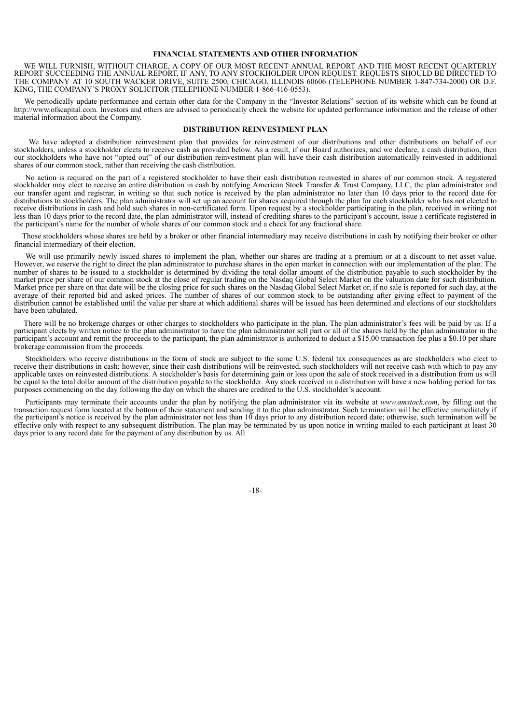## **FINANCIAL STATEMENTS AND OTHER INFORMATION**

WE WILL FURNISH, WITHOUT CHARGE, A COPY OF OUR MOST RECENT ANNUAL REPORT AND THE MOST RECENT QUARTERLY REPORT SUCCEEDING THE ANNUAL REPORT, IF ANY, TO ANY STOCKHOLDER UPON REQUEST. REQUESTS SHOULD BE DIRECTED TO THE COMPANY AT 10 SOUTH WACKER DRIVE, SUITE 2500, CHICAGO, ILLINOIS 60606 (TELEPHONE NUMBER 1-847-734-2000) OR D.F. KING, THE COMPANY'S PROXY SOLICITOR (TELEPHONE NUMBER 1-866-416-0553).

We periodically update performance and certain other data for the Company in the "Investor Relations" section of its website which can be found at http://www.ofscapital.com. Investors and others are advised to periodically check the website for updated performance information and the release of other material information about the Company.

### **DISTRIBUTION REINVESTMENT PLAN**

We have adopted a distribution reinvestment plan that provides for reinvestment of our distributions and other distributions on behalf of our stockholders, unless a stockholder elects to receive cash as provided below. As a result, if our Board authorizes, and we declare, a cash distribution, then our stockholders who have not "opted out" of our distribution reinvestment plan will have their cash distribution automatically reinvested in additional shares of our common stock, rather than receiving the cash distribution.

No action is required on the part of a registered stockholder to have their cash distribution reinvested in shares of our common stock. A registered stockholder may elect to receive an entire distribution in cash by notifying American Stock Transfer & Trust Company, LLC, the plan administrator and our transfer agent and registrar, in writing so that such notice is received by the plan administrator no later than 10 days prior to the record date for distributions to stockholders. The plan administrator will set up an account for shares acquired through the plan for each stockholder who has not elected to receive distributions in cash and hold such shares in non-certificated form. Upon request by a stockholder participating in the plan, received in writing not less than 10 days prior to the record date, the plan administrator will, instead of crediting shares to the participant's account, issue a certificate registered in the participant's name for the number of whole shares of our common stock and a check for any fractional share.

Those stockholders whose shares are held by a broker or other financial intermediary may receive distributions in cash by notifying their broker or other financial intermediary of their election.

We will use primarily newly issued shares to implement the plan, whether our shares are trading at a premium or at a discount to net asset value. However, we reserve the right to direct the plan administrator to purchase shares in the open market in connection with our implementation of the plan. The number of shares to be issued to a stockholder is determined by dividing the total dollar amount of the distribution payable to such stockholder by the market price per share of our common stock at the close of regular tra Market price per share on that date will be the closing price for such shares on the Nasdaq Global Select Market or, if no sale is reported for such day, at the average of their reported bid and asked prices. The number of shares of our common stock to be outstanding after giving effect to payment of the distribution cannot be established until the value per share at which additional shares will be issued has been determined and elections of our stockholders have been tabulated.

There will be no brokerage charges or other charges to stockholders who participate in the plan. The plan administrator's fees will be paid by us. If a participant elects by written notice to the plan administrator to have the plan administrator sell part or all of the shares held by the plan administrator in the participant's account and remit the proceeds to the participant, the plan administrator is authorized to deduct a \$15.00 transaction fee plus a \$0.10 per share brokerage commission from the proceeds.

Stockholders who receive distributions in the form of stock are subject to the same U.S. federal tax consequences as are stockholders who elect to receive their distributions in cash; however, since their cash distributions will be reinvested, such stockholders will not receive cash with which to pay any applicable taxes on reinvested distributions. A stockholder's basis for determining gain or loss upon the sale of stock received in a distribution from us will be equal to the total dollar amount of the distribution payable to the stockholder. Any stock received in a distribution will have a new holding period for tax purposes commencing on the day following the day on which the shares are credited to the U.S. stockholder's account.

Participants may terminate their accounts under the plan by notifying the plan administrator via its website at *www.amstock.com*, by filling out the transaction request form located at the bottom of their statement and sending it to the plan administrator. Such termination will be effective immediately if the participant's notice is received by the plan administrator not less than 10 days prior to any distribution record date; otherwise, such termination will be effective only with respect to any subsequent distribution. The plan may be terminated by us upon notice in writing mailed to each participant at least 30 days prior to any record date for the payment of any distribution by us. All

-18-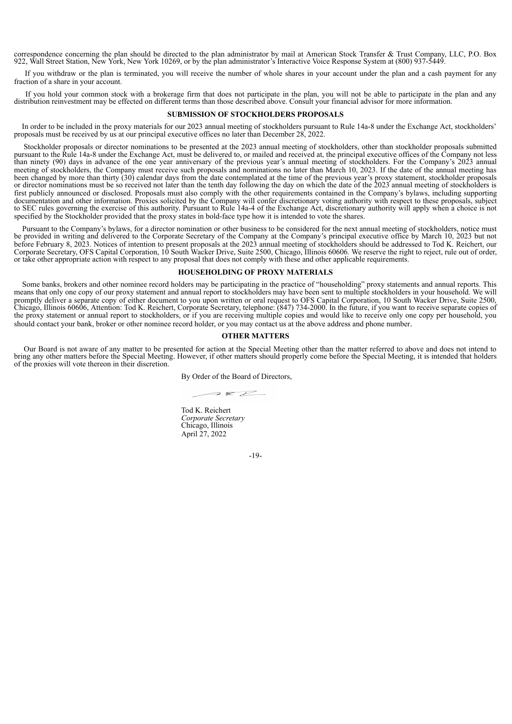correspondence concerning the plan should be directed to the plan administrator by mail at American Stock Transfer & Trust Company, LLC, P.O. Box 922, Wall Street Station, New York, New York 10269, or by the plan administrator's Interactive Voice Response System at (800) 937-5449.

If you withdraw or the plan is terminated, you will receive the number of whole shares in your account under the plan and a cash payment for any fraction of a share in your account.

If you hold your common stock with a brokerage firm that does not participate in the plan, you will not be able to participate in the plan and any distribution reinvestment may be effected on different terms than those described above. Consult your financial advisor for more information.

## **SUBMISSION OF STOCKHOLDERS PROPOSALS**

In order to be included in the proxy materials for our 2023 annual meeting of stockholders pursuant to Rule 14a-8 under the Exchange Act, stockholders' proposals must be received by us at our principal executive offices no later than December 28, 2022.

Stockholder proposals or director nominations to be presented at the 2023 annual meeting of stockholders, other than stockholder proposals submitted pursuant to the Rule 14a-8 under the Exchange Act, must be delivered to, or mailed and received at, the principal executive offices of the Company not less than ninety (90) days in advance of the one year anniversary of the previous year's annual meeting of stockholders. For the Company's 2023 annual meeting of stockholders, the Company must receive such proposals and nominations no later than March 10, 2023. If the date of the annual meeting has been changed by more than thirty (30) calendar days from the date contemplated at the time of the previous year's proxy statement, stockholder proposals or director nominations must be so received not later than the tenth day following the day on which the date of the 2023 annual meeting of stockholders is first publicly announced or disclosed. Proposals must also comply with the other requirements contained in the Company's bylaws, including supporting documentation and other information. Proxies solicited by the Company will confer discretionary voting authority with respect to these proposals, subject to SEC rules governing the exercise of this authority. Pursuant to Rule 14a-4 of the Exchange Act, discretionary authority will apply when a choice is not specified by the Stockholder provided that the proxy states in bold-face type how it is intended to vote the shares.

Pursuant to the Company's bylaws, for a director nomination or other business to be considered for the next annual meeting of stockholders, notice must be provided in writing and delivered to the Corporate Secretary of the Company at the Company's principal executive office by March 10, 2023 but not before February 8, 2023. Notices of intention to present proposals at the 2023 annual meeting of stockholders should be addressed to Tod K. Reichert, our Corporate Secretary, OFS Capital Corporation, 10 South Wacker Drive, Suite 2500, Chicago, Illinois 60606. We reserve the right to reject, rule out of order, or take other appropriate action with respect to any proposal that does not comply with these and other applicable requirements.

### **HOUSEHOLDING OF PROXY MATERIALS**

Some banks, brokers and other nominee record holders may be participating in the practice of "householding" proxy statements and annual reports. This means that only one copy of our proxy statement and annual report to stockholders may have been sent to multiple stockholders in your household. We will promptly deliver a separate copy of either document to you upon written or oral request to OFS Capital Corporation, 10 South Wacker Drive, Suite 2500, Chicago, Illinois 60606, Attention: Tod K. Reichert, Corporate Secretary, telephone: (847) 734-2000. In the future, if you want to receive separate copies of the proxy statement or annual report to stockholders, or if you are receiving multiple copies and would like to receive only one copy per household, you should contact your bank, broker or other nominee record holder, or you may contact us at the above address and phone number.

## **OTHER MATTERS**

Our Board is not aware of any matter to be presented for action at the Special Meeting other than the matter referred to above and does not intend to bring any other matters before the Special Meeting. However, if other matters should properly come before the Special Meeting, it is intended that holders of the proxies will vote thereon in their discretion.

By Order of the Board of Directors,

 $222$ 

Tod K. Reichert *Corporate Secretary* Chicago, Illinois April 27, 2022

-19-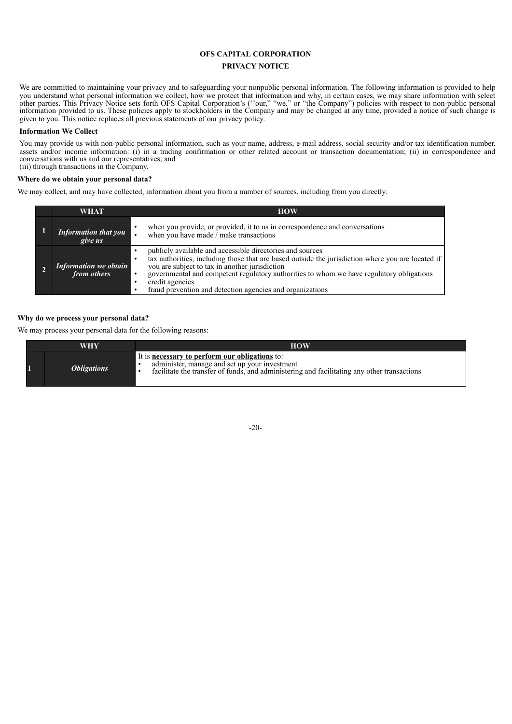## **OFS CAPITAL CORPORATION**

## **PRIVACY NOTICE**

We are committed to maintaining your privacy and to safeguarding your nonpublic personal information. The following information is provided to help you understand what personal information we collect, how we protect that information and why, in certain cases, we may share information with select other parties. This Privacy Notice sets forth OFS Capital Corporation's (''our," "we," or "the Company") policies with respect to non-public personal information provided to us. These policies apply to stockholders in the Company and may be changed at any time, provided a notice of such change is given to you. This notice replaces all previous statements of our privacy policy.

## **Information We Collect**

You may provide us with non-public personal information, such as your name, address, e-mail address, social security and/or tax identification number, assets and/or income information: (i) in a trading confirmation or other related account or transaction documentation; (ii) in correspondence and conversations with us and our representatives; and (iii) through transactions in the Company.

## **Where do we obtain your personal data?**

We may collect, and may have collected, information about you from a number of sources, including from you directly:

| WHAT                                        | <b>HOW</b>                                                                                                                                                                                                                                                                                                                                                                                                |
|---------------------------------------------|-----------------------------------------------------------------------------------------------------------------------------------------------------------------------------------------------------------------------------------------------------------------------------------------------------------------------------------------------------------------------------------------------------------|
| <b>Information that you</b><br>give us      | when you provide, or provided, it to us in correspondence and conversations<br>when you have made $\hat{I}$ make transactions                                                                                                                                                                                                                                                                             |
| <b>Information</b> we obtain<br>from others | publicly available and accessible directories and sources<br>tax authorities, including those that are based outside the jurisdiction where you are located if<br>you are subject to tax in another jurisdiction<br>governmental and competent regulatory authorities to whom we have regulatory obligations<br>$\bullet$<br>credit agencies<br>fraud prevention and detection agencies and organizations |

## **Why do we process your personal data?**

We may process your personal data for the following reasons:

| <b>WHY</b>                | <b>HOW</b>                                                                                                                                                                                            |
|---------------------------|-------------------------------------------------------------------------------------------------------------------------------------------------------------------------------------------------------|
| <i><b>Obligations</b></i> | It is <b>necessary to perform our obligations</b> to:<br>administer, manage and set up your investment<br>facilitate the transfer of funds, and administering and facilitating any other transactions |

-20-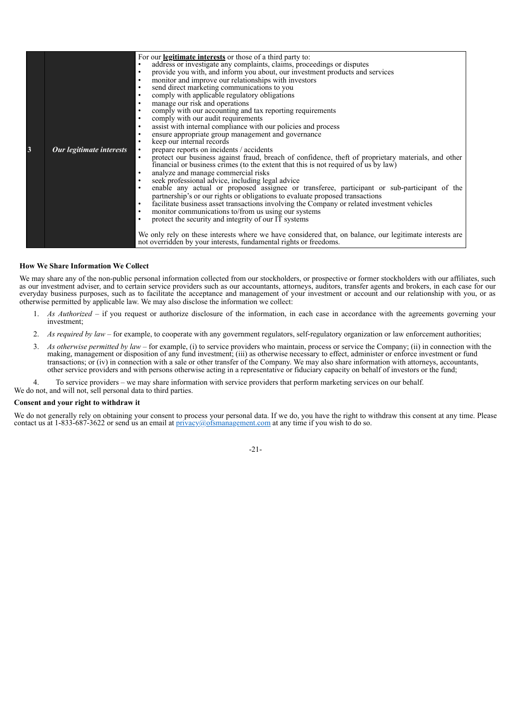|   |                          | For our <b>legitimate interests</b> or those of a third party to:                                                |
|---|--------------------------|------------------------------------------------------------------------------------------------------------------|
|   |                          | address or investigate any complaints, claims, proceedings or disputes                                           |
|   |                          | provide you with, and inform you about, our investment products and services<br>$\bullet$                        |
|   |                          | monitor and improve our relationships with investors<br>$\bullet$                                                |
|   |                          | send direct marketing communications to you<br>$\bullet$                                                         |
|   |                          | comply with applicable regulatory obligations<br>$\bullet$                                                       |
|   |                          | manage our risk and operations<br>$\bullet$                                                                      |
|   |                          | comply with our accounting and tax reporting requirements<br>$\bullet$                                           |
|   |                          | comply with our audit requirements<br>$\bullet$                                                                  |
|   |                          | assist with internal compliance with our policies and process<br>$\bullet$                                       |
|   |                          | ensure appropriate group management and governance<br>$\bullet$                                                  |
|   |                          | keep our internal records<br>$\bullet$                                                                           |
| 3 | Our legitimate interests | prepare reports on incidents / accidents<br>$\bullet$                                                            |
|   |                          | protect our business against fraud, breach of confidence, theft of proprietary materials, and other<br>$\bullet$ |
|   |                          | financial or business crimes (to the extent that this is not required of us by law)                              |
|   |                          | analyze and manage commercial risks<br>$\bullet$                                                                 |
|   |                          | seek professional advice, including legal advice<br>$\bullet$                                                    |
|   |                          | enable any actual or proposed assignee or transferee, participant or sub-participant of the<br>$\bullet$         |
|   |                          | partnership's or our rights or obligations to evaluate proposed transactions                                     |
|   |                          | facilitate business asset transactions involving the Company or related investment vehicles<br>$\bullet$         |
|   |                          | monitor communications to/from us using our systems<br>$\bullet$                                                 |
|   |                          | $\bullet$                                                                                                        |
|   |                          | protect the security and integrity of our IT systems                                                             |
|   |                          | We only rely on these interests where we have considered that, on balance, our legitimate interests are          |
|   |                          |                                                                                                                  |
|   |                          | not overridden by your interests, fundamental rights or freedoms.                                                |

## **How We Share Information We Collect**

We may share any of the non-public personal information collected from our stockholders, or prospective or former stockholders with our affiliates, such as our investment adviser, and to certain service providers such as our accountants, attorneys, auditors, transfer agents and brokers, in each case for our everyday business purposes, such as to facilitate the acceptance and management of your investment or account and our relationship with you, or as otherwise permitted by applicable law. We may also disclose the information we collect:

- 1. *As Authorized –* if you request or authorize disclosure of the information, in each case in accordance with the agreements governing your investment;
- 2. *As required by law –* for example, to cooperate with any government regulators, self-regulatory organization or law enforcement authorities;
- 3. *As otherwise permitted by law* for example, (i) to service providers who maintain, process or service the Company; (ii) in connection with the making, management or disposition of any fund investment; (iii) as otherwise necessary to effect, administer or enforce investment or fund transactions; or (iv) in connection with a sale or other transfer of the Company. We may also share information with attorneys, accountants, other service providers and with persons otherwise acting in a representative or fiduciary capacity on behalf of investors or the fund;

4. To service providers – we may share information with service providers that perform marketing services on our behalf.

We do not, and will not, sell personal data to third parties.

## **Consent and your right to withdraw it**

We do not generally rely on obtaining your consent to process your personal data. If we do, you have the right to withdraw this consent at any time. Please contact us at 1-833-687-3622 or send us an email at  $\frac{\text{privacy}}{\text{logms} + \text{{{cm}}}}$  at any time if you wish to do so.

-21-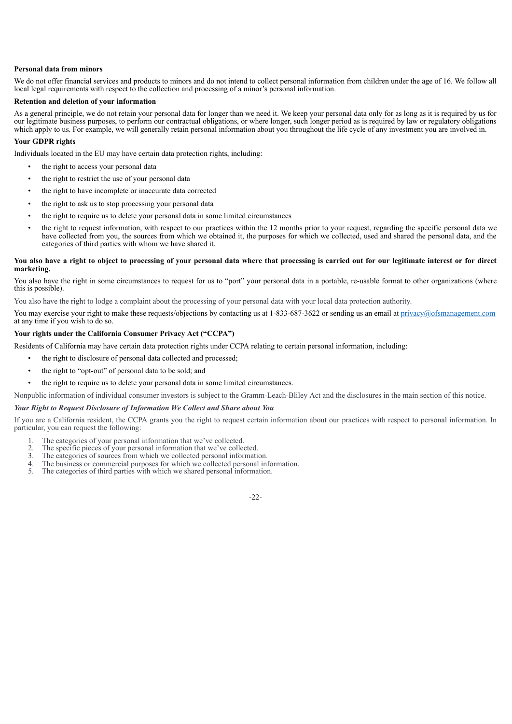## **Personal data from minors**

We do not offer financial services and products to minors and do not intend to collect personal information from children under the age of 16. We follow all local legal requirements with respect to the collection and processing of a minor's personal information.

## **Retention and deletion of your information**

As a general principle, we do not retain your personal data for longer than we need it. We keep your personal data only for as long as it is required by us for our legitimate business purposes, to perform our contractual obligations, or where longer, such longer period as is required by law or regulatory obligations which apply to us. For example, we will generally retain personal information about you throughout the life cycle of any investment you are involved in.

## **Your GDPR rights**

Individuals located in the EU may have certain data protection rights, including:

- the right to access your personal data
- the right to restrict the use of your personal data
- the right to have incomplete or inaccurate data corrected
- the right to ask us to stop processing your personal data
- the right to require us to delete your personal data in some limited circumstances
- the right to request information, with respect to our practices within the 12 months prior to your request, regarding the specific personal data we have collected from you, the sources from which we obtained it, the purposes for which we collected, used and shared the personal data, and the categories of third parties with whom we have shared it.

## You also have a right to object to processing of your personal data where that processing is carried out for our legitimate interest or for direct **marketing.**

You also have the right in some circumstances to request for us to "port" your personal data in a portable, re-usable format to other organizations (where this is possible).

You also have the right to lodge a complaint about the processing of your personal data with your local data protection authority.

You may exercise your right to make these requests/objections by contacting us at 1-833-687-3622 or sending us an email at privacy@ofsmanagement.com at any time if you wish to do so.

## **Your rights under the California Consumer Privacy Act ("CCPA")**

Residents of California may have certain data protection rights under CCPA relating to certain personal information, including:

- the right to disclosure of personal data collected and processed;
- the right to "opt-out" of personal data to be sold; and
- the right to require us to delete your personal data in some limited circumstances.

Nonpublic information of individual consumer investors is subject to the Gramm-Leach-Bliley Act and the disclosures in the main section of this notice.

## *Your Right to Request Disclosure of Information We Collect and Share about You*

If you are a California resident, the CCPA grants you the right to request certain information about our practices with respect to personal information. In particular, you can request the following:

- 1. The categories of your personal information that we've collected.<br>2. The specific pieces of your personal information that we've collected.
- 2. The specific pieces of your personal information that we've collected.<br>3. The categories of sources from which we collected personal information
- 3. The categories of sources from which we collected personal information.<br>4. The business or commercial purposes for which we collected personal in
- 4. The business or commercial purposes for which we collected personal information.<br>5. The categories of third parties with which we shared personal information
- The categories of third parties with which we shared personal information.

-22-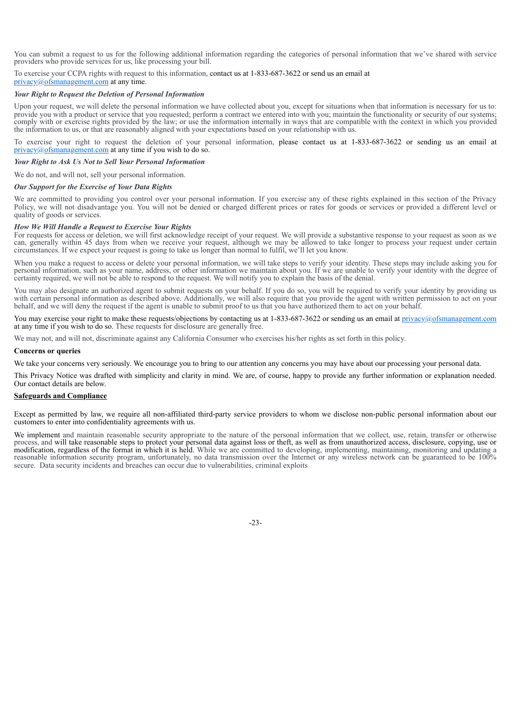You can submit a request to us for the following additional information regarding the categories of personal information that we've shared with service providers who provide services for us, like processing your bill.

To exercise your CCPA rights with request to this information, contact us at 1-833-687-3622 or send us an email at

privacy@ofsmanagement.com at any time.

## *Your Right to Request the Deletion of Personal Information*

Upon your request, we will delete the personal information we have collected about you, except for situations when that information is necessary for us to: provide you with a product or service that you requested; perform a contract we entered into with you; maintain the functionality or security of our systems; comply with or exercise rights provided by the law; or use the information internally in ways that are compatible with the context in which you provided the information to us, or that are reasonably aligned with your expectations based on your relationship with us.

To exercise your right to request the deletion of your personal information, please contact us at 1-833-687-3622 or sending us an email at privacy@ofsmanagement.com at any time if you wish to do so.

## *Your Right to Ask Us Not to Sell Your Personal Information*

We do not, and will not, sell your personal information.

### *Our Support for the Exercise of Your Data Rights*

We are committed to providing you control over your personal information. If you exercise any of these rights explained in this section of the Privacy Policy, we will not disadvantage you. You will not be denied or charged different prices or rates for goods or services or provided a different level or quality of goods or services.

### *How We Will Handle a Request to Exercise Your Rights*

For requests for access or deletion, we will first acknowledge receipt of your request. We will provide a substantive response to your request as soon as we can, generally within 45 days from when we receive your request, although we may be allowed to take longer to process your request under certain circumstances. If we expect your request is going to take us longer than normal to fulfil, we'll let you know.

When you make a request to access or delete your personal information, we will take steps to verify your identity. These steps may include asking you for personal information, such as your name, address, or other information we maintain about you. If we are unable to verify your identity with the degree of certainty required, we will not be able to respond to the request. We will notify you to explain the basis of the denial.

You may also designate an authorized agent to submit requests on your behalf. If you do so, you will be required to verify your identity by providing us with certain personal information as described above. Additionally, we will also require that you provide the agent with written permission to act on your behalf, and we will deny the request if the agent is unable to submit proof to us that you have authorized them to act on your behalf.

You may exercise your right to make these requests/objections by contacting us at 1-833-687-3622 or sending us an email at privacy@ofsmanagement.com at any time if you wish to do so. These requests for disclosure are generally free.

We may not, and will not, discriminate against any California Consumer who exercises his/her rights as set forth in this policy.

## **Concerns or queries**

We take your concerns very seriously. We encourage you to bring to our attention any concerns you may have about our processing your personal data.

This Privacy Notice was drafted with simplicity and clarity in mind. We are, of course, happy to provide any further information or explanation needed. Our contact details are below.

## **Safeguards and Compliance**

Except as permitted by law, we require all non-affiliated third-party service providers to whom we disclose non-public personal information about our customers to enter into confidentiality agreements with us.

We implement and maintain reasonable security appropriate to the nature of the personal information that we collect, use, retain, transfer or otherwise process, and will take reasonable steps to protect your personal data against loss or theft, as well as from unauthorized access, disclosure, copying, use or modification, regardless of the format in which it is held. While we are committed to developing, implementing, maintaining, monitoring and updating a reasonable information security program, unfortunately, no data transmission over the Internet or any wireless network can be guaranteed to be 100% secure. Data security incidents and breaches can occur due to vulnerabilities, criminal exploits

-23-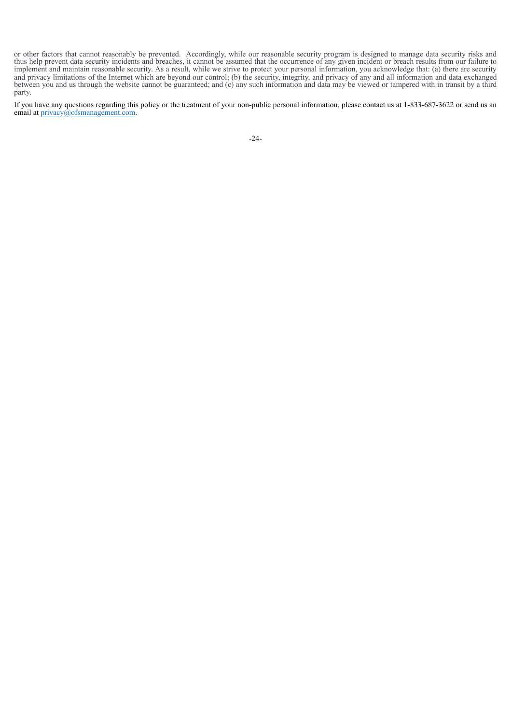or other factors that cannot reasonably be prevented. Accordingly, while our reasonable security program is designed to manage data security risks and thus help prevent data security incidents and breaches, it cannot be assumed that the occurrence of any given incident or breach results from our failure to implement and maintain reasonable security. As a result, while we strive to protect your personal information, you acknowledge that: (a) there are security and privacy limitations of the Internet which are beyond our control; (b) the security, integrity, and privacy of any and all information and data exchanged between you and us through the website cannot be guaranteed; and (c) any such information and data may be viewed or tampered with in transit by a third party.

If you have any questions regarding this policy or the treatment of your non-public personal information, please contact us at 1-833-687-3622 or send us an email at privacy@ofsmanagement.com.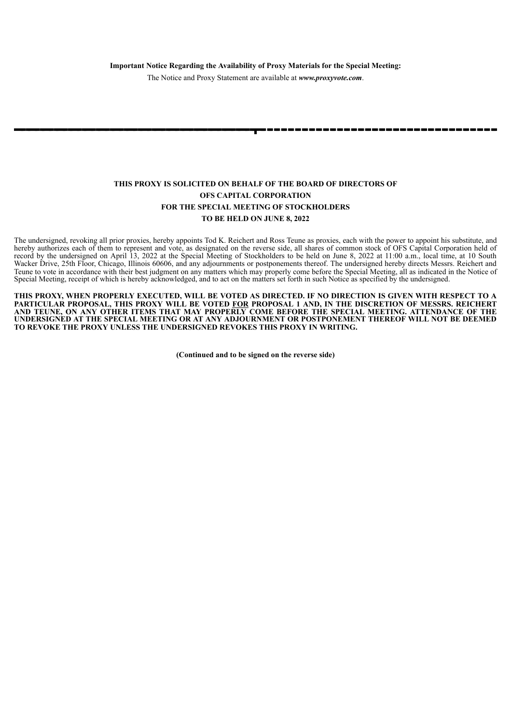The Notice and Proxy Statement are available at *www.proxyvote.com*.

# **THIS PROXY IS SOLICITED ON BEHALF OF THE BOARD OF DIRECTORS OF OFS CAPITAL CORPORATION FOR THE SPECIAL MEETING OF STOCKHOLDERS TO BE HELD ON JUNE 8, 2022**

The undersigned, revoking all prior proxies, hereby appoints Tod K. Reichert and Ross Teune as proxies, each with the power to appoint his substitute, and hereby authorizes each of them to represent and vote, as designated on the reverse side, all shares of common stock of OFS Capital Corporation held of record by the undersigned on April 13, 2022 at the Special Meeting of Stockholders to be held on June 8, 2022 at 11:00 a.m., local time, at 10 South Wacker Drive, 25th Floor, Chicago, Illinois 60606, and any adjournments or postponements thereof. The undersigned hereby directs Messrs. Reichert and Teune to vote in accordance with their best judgment on any matters which may properly come before the Special Meeting, all as indicated in the Notice of Special Meeting, receipt of which is hereby acknowledged, and to act on the matters set forth in such Notice as specified by the undersigned.

THIS PROXY, WHEN PROPERLY EXECUTED, WILL BE VOTED AS DIRECTED. IF NO DIRECTION IS GIVEN WITH RESPECT TO A **PARTICULAR PROPOSAL, THIS PROXY WILL BE VOTED FOR PROPOSAL 1 AND, IN THE DISCRETION OF MESSRS. REICHERT AND TEUNE, ON ANY OTHER ITEMS THAT MAY PROPERLY COME BEFORE THE SPECIAL MEETING. ATTENDANCE OF THE UNDERSIGNED AT THE SPECIAL MEETING OR AT ANY ADJOURNMENT OR POSTPONEMENT THEREOF WILL NOT BE DEEMED TO REVOKE THE PROXY UNLESS THE UNDERSIGNED REVOKES THIS PROXY IN WRITING.**

**(Continued and to be signed on the reverse side)**